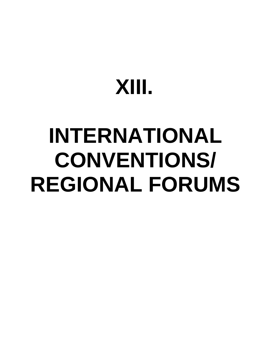# **XIII.**

# **INTERNATIONAL CONVENTIONS/ REGIONAL FORUMS**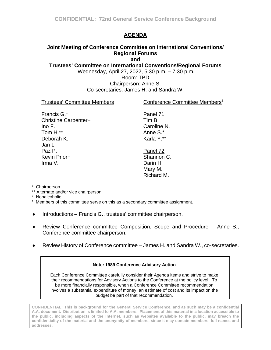## **AGENDA**

## <span id="page-1-0"></span>**Joint Meeting of Conference Committee on International Conventions/ Regional Forums**

**and**

**Trustees' Committee on International Conventions/Regional Forums**

Wednesday, April 27, 2022, 5:30 p.m. **–** 7:30 p.m.

Room: TBD

Chairperson: Anne S. Co-secretaries: James H. and Sandra W.

#### Trustees' Committee Members

Conference Committee Members<sup>1</sup>

| Francis G.*                 |
|-----------------------------|
| <b>Christine Carpenter+</b> |
| Ino $F$ .                   |
| Tom H.**                    |
| Deborah K.                  |
| Jan L.                      |
| Paz P.                      |
| Kevin Prior+                |
| Irma V.                     |

Tim B. Caroline N. Anne S.\* Karla Y.\*\* Panel 72 Shannon C.

Panel 71

Darin H. Mary M. Richard M.

- \* Chairperson
- \*\* Alternate and/or vice chairperson
- + Nonalcoholic

1 Members of this committee serve on this as a secondary committee assignment.

- ♦ Introductions Francis G., trustees' committee chairperson.
- ♦ Review Conference committee Composition, Scope and Procedure Anne S., Conference committee chairperson.
- Review History of Conference committee James H. and Sandra W., co-secretaries.

#### **Note: 1989 Conference Advisory Action**

Each Conference Committee carefully consider their Agenda items and strive to make their recommendations for Advisory Actions to the Conference at the policy level. To be more financially responsible, when a Conference Committee recommendation involves a substantial expenditure of money, an estimate of cost and its impact on the budget be part of that recommendation.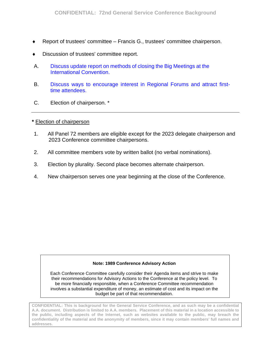- Report of trustees' committee Francis G., trustees' committee chairperson.
- Discussion of trustees' committee report.
- A. Discuss update report on methods [of closing the Big Meetings at](#page-3-0) the International Convention.
- B. [Discuss ways to encourage interest in Regional Forums](#page-5-0) and attract firsttime attendees.
- C. Election of chairperson. \*

#### **\*** Election of chairperson

- 1. All Panel 72 members are eligible except for the 2023 delegate chairperson and 2023 Conference committee chairpersons.
- 2. All committee members vote by written ballot (no verbal nominations).
- 3. Election by plurality. Second place becomes alternate chairperson.
- 4. New chairperson serves one year beginning at the close of the Conference.

#### **Note: 1989 Conference Advisory Action**

Each Conference Committee carefully consider their Agenda items and strive to make their recommendations for Advisory Actions to the Conference at the policy level. To be more financially responsible, when a Conference Committee recommendation involves a substantial expenditure of money, an estimate of cost and its impact on the budget be part of that recommendation.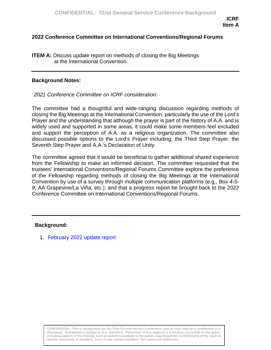#### <span id="page-3-0"></span>**2022 Conference Committee on International Conventions/Regional Forums**

**ITEM A:** Discuss update report on methods of closing the Big Meetings at the International Convention.

#### **Background Notes:**

*2021 Conference Committee on ICRF consideration:*

The committee had a thoughtful and wide-ranging discussion regarding methods of closing the Big Meetings at the International Convention, particularly the use of the Lord's Prayer and the understanding that although the prayer is part of the history of A.A. and is widely used and supported in some areas, it could make some members feel excluded and support the perception of A.A. as a religious organization. The committee also discussed possible options to the Lord's Prayer including, the Third Step Prayer, the Seventh Step Prayer and A.A.'s Declaration of Unity.

The committee agreed that it would be beneficial to gather additional shared experience from the Fellowship to make an informed decision. The committee requested that the trustees' International Conventions/Regional Forums Committee explore the preference of the Fellowship regarding methods of closing the Big Meetings at the International Convention by use of a survey through multiple communication platforms (e.g., *Box 4-5- 9*, AA Grapevine/La Viña, etc.); and that a progress report be brought back to the 2022 Conference Committee on International Conventions/Regional Forums.

#### **Background:**

1. [February 2022 update report](#page--1-0)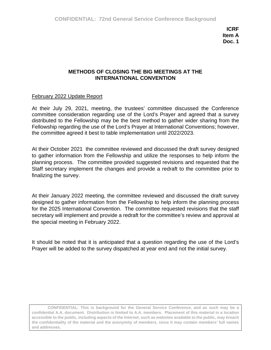## **METHODS OF CLOSING THE BIG MEETINGS AT THE INTERNATIONAL CONVENTION**

#### February 2022 Update Report

At their July 29, 2021, meeting, the trustees' committee discussed the Conference committee consideration regarding use of the Lord's Prayer and agreed that a survey distributed to the Fellowship may be the best method to gather wider sharing from the Fellowship regarding the use of the Lord's Prayer at International Conventions; however, the committee agreed it best to table implementation until 2022/2023.

At their October 2021 the committee reviewed and discussed the draft survey designed to gather information from the Fellowship and utilize the responses to help inform the planning process. The committee provided suggested revisions and requested that the Staff secretary implement the changes and provide a redraft to the committee prior to finalizing the survey.

At their January 2022 meeting, the committee reviewed and discussed the draft survey designed to gather information from the Fellowship to help inform the planning process for the 2025 International Convention. The committee requested revisions that the staff secretary will implement and provide a redraft for the committee's review and approval at the special meeting in February 2022.

It should be noted that it is anticipated that a question regarding the use of the Lord's Prayer will be added to the survey dispatched at year end and not the initial survey.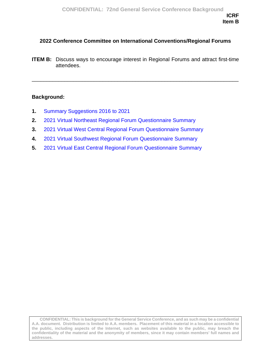## <span id="page-5-0"></span>**2022 Conference Committee on International Conventions/Regional Forums**

**ITEM B:** Discuss ways to encourage interest in Regional Forums and attract first-time attendees.

\_\_\_\_\_\_\_\_\_\_\_\_\_\_\_\_\_\_\_\_\_\_\_\_\_\_\_\_\_\_\_\_\_\_\_\_\_\_\_\_\_\_\_\_\_\_\_\_\_\_\_\_\_\_\_\_\_\_\_\_\_\_\_\_\_\_\_\_\_\_

#### **Background:**

- **1.** [Summary Suggestions](#page-6-0) 2016 to 2021
- **2.** 2021 Virtual Northeast [Regional Forum Questionnaire Summary](#page-9-0)
- **3.** 2021 Virtual [West Central Regional Forum Questionnaire Summary](#page-34-0)
- **4.** 2021 Virtual [Southwest Regional Forum Questionnaire Summary](#page-46-0)
- **5.** 2021 Virtual [East Central Regional Forum Questionnaire Summary](#page-67-0)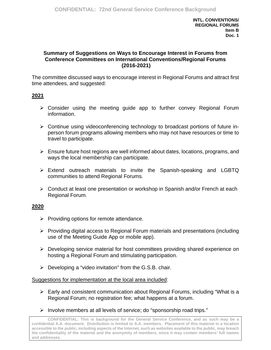#### <span id="page-6-0"></span>**Summary of Suggestions on Ways to Encourage Interest in Forums from Conference Committees on International Conventions/Regional Forums (2016-2021)**

The committee discussed ways to encourage interest in Regional Forums and attract first time attendees, and suggested:

## **2021**

- Consider using the meeting guide app to further convey Regional Forum information.
- Continue using videoconferencing technology to broadcast portions of future inperson forum programs allowing members who may not have resources or time to travel to participate.
- $\triangleright$  Ensure future host regions are well informed about dates, locations, programs, and ways the local membership can participate.
- $\triangleright$  Extend outreach materials to invite the Spanish-speaking and LGBTQ communities to attend Regional Forums.
- Conduct at least one presentation or workshop in Spanish and/or French at each Regional Forum.

#### **2020**

- $\triangleright$  Providing options for remote attendance.
- $\triangleright$  Providing digital access to Regional Forum materials and presentations (including use of the Meeting Guide App or mobile app).
- Developing service material for host committees providing shared experience on hosting a Regional Forum and stimulating participation.
- $\triangleright$  Developing a "video invitation" from the G.S.B. chair.

#### Suggestions for implementation at the local area included:

- Early and consistent communication about Regional Forums, including "What is a Regional Forum; no registration fee; what happens at a forum.
- $\triangleright$  Involve members at all levels of service; do "sponsorship road trips."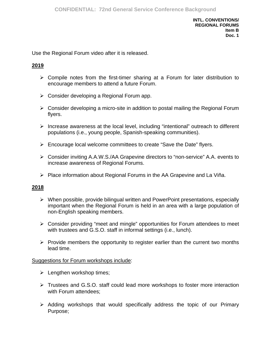Use the Regional Forum video after it is released.

## **2019**

- $\triangleright$  Compile notes from the first-timer sharing at a Forum for later distribution to encourage members to attend a future Forum.
- $\triangleright$  Consider developing a Regional Forum app.
- $\triangleright$  Consider developing a micro-site in addition to postal mailing the Regional Forum flyers.
- $\triangleright$  Increase awareness at the local level, including "intentional" outreach to different populations (i.e., young people, Spanish-speaking communities).
- $\triangleright$  Encourage local welcome committees to create "Save the Date" flyers.
- Consider inviting A.A.W.S./AA Grapevine directors to "non-service" A.A. events to increase awareness of Regional Forums.
- $\triangleright$  Place information about Regional Forums in the AA Grapevine and La Viña.

#### **2018**

- $\triangleright$  When possible, provide bilingual written and PowerPoint presentations, especially important when the Regional Forum is held in an area with a large population of non-English speaking members.
- Consider providing "meet and mingle" opportunities for Forum attendees to meet with trustees and G.S.O. staff in informal settings (i.e., lunch).
- $\triangleright$  Provide members the opportunity to register earlier than the current two months lead time.

#### Suggestions for Forum workshops include:

- $\triangleright$  Lengthen workshop times;
- Frustees and G.S.O. staff could lead more workshops to foster more interaction with Forum attendees;
- $\triangleright$  Adding workshops that would specifically address the topic of our Primary Purpose;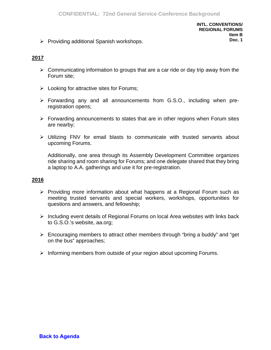$\triangleright$  Providing additional Spanish workshops.

## **2017**

- $\triangleright$  Communicating information to groups that are a car ride or day trip away from the Forum site;
- $\triangleright$  Looking for attractive sites for Forums;
- Forwarding any and all announcements from G.S.O., including when preregistration opens;
- $\triangleright$  Forwarding announcements to states that are in other regions when Forum sites are nearby;
- Utilizing FNV for email blasts to communicate with trusted servants about upcoming Forums.

Additionally, one area through its Assembly Development Committee organizes ride sharing and room sharing for Forums; and one delegate shared that they bring a laptop to A.A. gatherings and use it for pre-registration.

### **2016**

- $\triangleright$  Providing more information about what happens at a Regional Forum such as meeting trusted servants and special workers, workshops, opportunities for questions and answers, and fellowship;
- $\triangleright$  Including event details of Regional Forums on local Area websites with links back to G.S.O.'s website, aa.org;
- Encouraging members to attract other members through "bring a buddy" and "get on the bus" approaches;
- $\triangleright$  Informing members from outside of your region about upcoming Forums.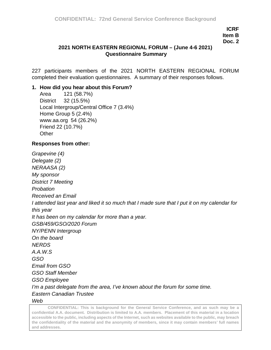## <span id="page-9-0"></span>**2021 NORTH EASTERN REGIONAL FORUM – (June 4-6 2021) Questionnaire Summary**

227 participants members of the 2021 NORTH EASTERN REGIONAL FORUM completed their evaluation questionnaires. A summary of their responses follows.

### **1. How did you hear about this Forum?**

Area 121 (58.7%) District 32 (15.5%) Local Intergroup/Central Office 7 (3.4%) Home Group 5 (2.4%) www.aa.org 54 (26.2%) Friend 22 (10.7%) **Other** 

## **Responses from other:**

*Grapevine (4) Delegate (2) NERAASA (2) My sponsor District 7 Meeting Probation Received an Email I attended last year and liked it so much that I made sure that I put it on my calendar for this year It has been on my calendar for more than a year. GSB/459/GSO/2020 Forum NY/PENN Intergroup On the board NERDS A.A.W.S GSO Email from GSO GSO Staff Member GSO Employee I'm a past delegate from the area, I've known about the forum for some time. Eastern Canadian Trustee Web*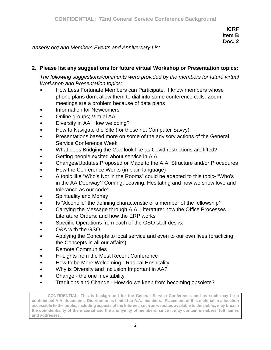*Aaseny.org and Members Events and Anniversary List*

# **2. Please list any suggestions for future virtual Workshop or Presentation topics:**

*The following suggestions/comments were provided by the members for future virtual Workshop and Presentation topics:*

- How Less Fortunate Members can Participate. I know members whose phone plans don't allow them to dial into some conference calls. Zoom meetings are a problem because of data plans
- Information for Newcomers
- Online groups; Virtual AA
- Diversity in AA; How we doing?
- How to Navigate the Site (for those not Computer Savvy)
- Presentations based more on some of the advisory actions of the General Service Conference Week
- What does Bridging the Gap look like as Covid restrictions are lifted?
- Getting people excited about service in A.A.
- Changes/Updates Proposed or Made to the A.A. Structure and/or Procedures
- How the Conference Works (in plain language)
- A topic like "Who's Not in the Rooms" could be adapted to this topic- "Who's in the AA Doorway? Coming, Leaving, Hesitating and how we show love and tolerance as our code"
- Spirituality and Money
- Is "Alcoholic" the defining characteristic of a member of the fellowship?
- Carrying the Message through A.A. Literature: how the Office Processes Literature Orders; and how the ERP works
- Specific Operations from each of the GSO staff desks.
- Q&A with the GSO
- Applying the Concepts to local service and even to our own lives (practicing the Concepts in all our affairs)
- Remote Communities
- Hi-Lights from the Most Recent Conference
- How to be More Welcoming Radical Hospitality
- Why is Diversity and Inclusion Important in AA?
- Change the one Inevitability
- Traditions and Change How do we keep from becoming obsolete?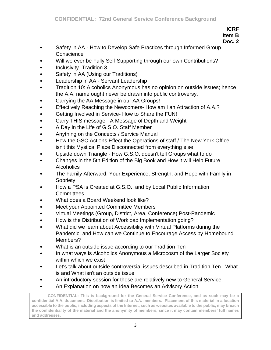**Doc. 2**

- Safety in AA How to Develop Safe Practices through Informed Group **Conscience**
- Will we ever be Fully Self-Supporting through our own Contributions?
- Inclusivity- Tradition 3
- Safety in AA (Using our Traditions)
- Leadership in AA Servant Leadership
- Tradition 10: Alcoholics Anonymous has no opinion on outside issues; hence the A.A. name ought never be drawn into public controversy.
- Carrying the AA Message in our AA Groups!
- Effectively Reaching the Newcomers- How am I an Attraction of A.A.?
- Getting Involved in Service- How to Share the FUN!
- Carry THIS message A Message of Depth and Weight
- A Day in the Life of G.S.O. Staff Member
- Anything on the Concepts / Service Manual
- How the GSC Actions Effect the Operations of staff / The New York Office isn't this Mystical Place Disconnected from everything else
- Upside down Triangle How G.S.O. doesn't tell Groups what to do
- Changes in the 5th Edition of the Big Book and How it will Help Future **Alcoholics**
- The Family Afterward: Your Experience, Strength, and Hope with Family in **Sobriety**
- How a PSA is Created at G.S.O., and by Local Public Information **Committees**
- What does a Board Weekend look like?
- Meet your Appointed Committee Members
- Virtual Meetings (Group, District, Area, Conference) Post-Pandemic
- How is the Distribution of Workload Implementation going?
- What did we learn about Accessibility with Virtual Platforms during the Pandemic, and How can we Continue to Encourage Access by Homebound Members?
- What is an outside issue according to our Tradition Ten
- In what ways is Alcoholics Anonymous a Microcosm of the Larger Society within which we exist
- Let's talk about outside controversial issues described in Tradition Ten. What is and What isn't an outside issue
- An introductory session for those are relatively new to General Service.
- An Explanation on how an Idea Becomes an Advisory Action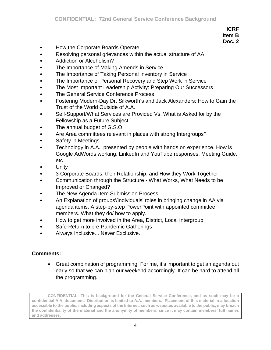- How the Corporate Boards Operate
- Resolving personal grievances within the actual structure of AA.
- Addiction or Alcoholism?
- The Importance of Making Amends in Service
- The Importance of Taking Personal Inventory in Service
- The Importance of Personal Recovery and Step Work in Service
- The Most Important Leadership Activity: Preparing Our Successors
- The General Service Conference Process
- Fostering Modern-Day Dr. Silkworth's and Jack Alexanders: How to Gain the Trust of the World Outside of A.A.
- Self-Support/What Services are Provided Vs. What is Asked for by the Fellowship as a Future Subject
- The annual budget of G.S.O.
- Are Area committees relevant in places with strong Intergroups?
- Safety in Meetings
- Technology in A.A., presented by people with hands on experience. How is Google AdWords working, LinkedIn and YouTube responses, Meeting Guide, etc
- Unity
- 3 Corporate Boards, their Relationship, and How they Work Together
- Communication through the Structure What Works, What Needs to be Improved or Changed?
- The New Agenda Item Submission Process
- An Explanation of groups'/individuals' roles in bringing change in AA via agenda items. A step-by-step PowerPoint with appointed committee members. What they do/ how to apply.
- How to get more involved in the Area, District, Local Intergroup
- Safe Return to pre-Pandemic Gatherings
- Always Inclusive... Never Exclusive.

#### **Comments:**

• Great combination of programming. For me, it's important to get an agenda out early so that we can plan our weekend accordingly. It can be hard to attend all the programming.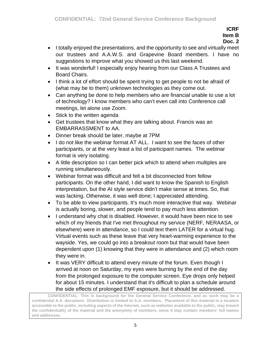- I totally enjoyed the presentations, and the opportunity to see and virtually meet our trustees and A.A.W.S. and Grapevine Board members. I have no suggestions to improve what you showed us this last weekend.
- It was wonderful! I especially enjoy hearing from our Class A Trustees and Board Chairs.
- I think a lot of effort should be spent trying to get people to not be afraid of (what may be to them) unknown technologies as they come out.
- Can anything be done to help members who are financial unable to use a lot of technology? I know members who can't even call into Conference call meetings, let alone use Zoom.
- Stick to the written agenda
- Get trustees that know what they are talking about. Francis was an EMBARRASSMENT to AA.
- Dinner break should be later, maybe at 7PM
- I do not like the webinar format AT ALL. I want to see the faces of other participants, or at the very least a list of participant names. The webinar format is very isolating.
- A little description so I can better pick which to attend when multiples are running simultaneously.
- Webinar format was difficult and felt a bit disconnected from fellow participants. On the other hand, I did want to know the Spanish to English interpretation, but the AI style service didn't make sense at times. So, that was lacking. Otherwise, it was well done; I appreciated attending.
- To be able to view participants. It's much more interactive that way. Webinar is actually boring, slower, and people tend to pay much less attention.
- I understand why chat is disabled. However, it would have been nice to see which of my friends that I've met throughout my service (NERF, NERAASA, or elsewhere) were in attendance, so I could text them LATER for a virtual hug. Virtual events such as these leave that very heart-warming experience to the wayside. Yes, we could go into a breakout room but that would have been dependent upon (1) knowing that they were in attendance and (2) which room they were in.
- It was VERY difficult to attend every minute of the forum. Even though I arrived at noon on Saturday, my eyes were burning by the end of the day from the prolonged exposure to the computer screen. Eye drops only helped for about 15 minutes. I understand that it's difficult to plan a schedule around the side effects of prolonged EMF exposure, but it should be addressed.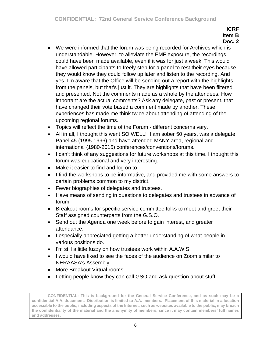- We were informed that the forum was being recorded for Archives which is understandable. However, to alleviate the EMF exposure, the recordings could have been made available, even if it was for just a week. This would have allowed participants to freely step for a panel to rest their eyes because they would know they could follow up later and listen to the recording. And yes, I'm aware that the Office will be sending out a report with the highlights from the panels, but that's just it. They are highlights that have been filtered and presented. Not the comments made as a whole by the attendees. How important are the actual comments? Ask any delegate, past or present, that have changed their vote based a comment made by another. These experiences has made me think twice about attending of attending of the upcoming regional forums.
- Topics will reflect the time of the Forum different concerns vary.
- All in all, I thought this went SO WELL! I am sober 50 years, was a delegate Panel 45 (1995-1996) and have attended MANY area, regional and international (1980-2015) conferences/conventions/forums.
- I can't think of any suggestions for future workshops at this time. I thought this forum was educational and very interesting.
- Make it easier to find and log on to
- I find the workshops to be informative, and provided me with some answers to certain problems common to my district.
- Fewer biographies of delegates and trustees.
- Have means of sending in questions to delegates and trustees in advance of forum.
- Breakout rooms for specific service committee folks to meet and greet their Staff assigned counterparts from the G.S.O.
- Send out the Agenda one week before to gain interest, and greater attendance.
- I especially appreciated getting a better understanding of what people in various positions do.
- I'm still a little fuzzy on how trustees work within A.A.W.S.
- I would have liked to see the faces of the audience on Zoom similar to NERAASA's Assembly
- More Breakout Virtual rooms
- Letting people know they can call GSO and ask question about stuff

**CONFIDENTIAL: This is background for the General Service Conference, and as such may be a confidential A.A. document. Distribution is limited to A.A. members. Placement of this material in a location accessible to the public, including aspects of the Internet, such as websites available to the public, may breach the confidentiality of the material and the anonymity of members, since it may contain members' full names and addresses.**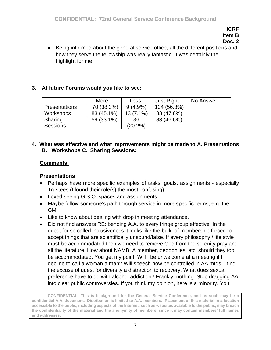**Doc. 2**

• Being informed about the general service office, all the different positions and how they serve the fellowship was really fantastic. It was certainly the highlight for me.

# **3. At future Forums would you like to see:**

|                      | More       | Less        | <b>Just Right</b> | No Answer |
|----------------------|------------|-------------|-------------------|-----------|
| <b>Presentations</b> | 70 (38.3%) | $9(4.9\%)$  | 104 (56.8%)       |           |
| Workshops            | 83 (45.1%) | $13(7.1\%)$ | 88 (47.8%)        |           |
| Sharing              | 59 (33.1%) | 36          | 83 (46.6%)        |           |
| <b>Sessions</b>      |            | (20.2%)     |                   |           |

### **4. What was effective and what improvements might be made to A. Presentations B. Workshops C. Sharing Sessions:**

## **Comments**:

# **Presentations**

- Perhaps have more specific examples of tasks, goals, assignments especially Trustees (I found their role(s) the most confusing)
- Loved seeing G.S.O. spaces and assignments
- Maybe follow someone's path through service in more specific terms, e.g. the GM.
- Like to know about dealing with drop in meeting attendance.
- Did not find answers RE: bending A.A. to every fringe group effective. In the quest for so called inclusiveness it looks like the bulk of membership forced to accept things that are scientifically unsound/false. If every philosophy / life style must be accommodated then we need to remove God from the serenity pray and all the literature. How about NAMBLA member, pedophiles, etc. should they too be accommodated. You get my point. Will I be unwelcome at a meeting if I decline to call a woman a man? Will speech now be controlled in AA mtgs. I find the excuse of quest for diversity a distraction to recovery. What does sexual preference have to do with alcohol addiction? Frankly, nothing. Stop dragging AA into clear public controversies. If you think my opinion, here is a minority. You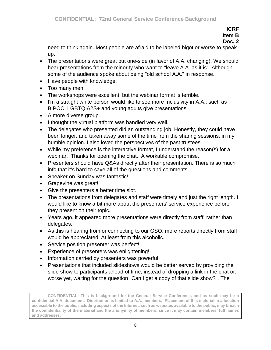**Doc. 2**

need to think again. Most people are afraid to be labeled bigot or worse to speak up.

- The presentations were great but one-side (in favor of A.A. changing). We should hear presentations from the minority who want to "leave A.A. as it is". Although some of the audience spoke about being "old school A.A." in response.
- Have people with knowledge.
- Too many men
- The workshops were excellent, but the webinar format is terrible.
- I'm a straight white person would like to see more Inclusivity in A.A., such as BIPOC, LGBTQIA2S+ and young adults give presentations.
- A more diverse group
- I thought the virtual platform was handled very well.
- The delegates who presented did an outstanding job. Honestly, they could have been longer, and taken away some of the time from the sharing sessions, in my humble opinion. I also loved the perspectives of the past trustees.
- While my preference is the interactive format, I understand the reason(s) for a webinar. Thanks for opening the chat. A workable compromise.
- Presenters should have Q&As directly after their presentation. There is so much info that it's hard to save all of the questions and comments
- Speaker on Sunday was fantastic!
- Grapevine was great!
- Give the presenters a better time slot.
- The presentations from delegates and staff were timely and just the right length. I would like to know a bit more about the presenters' service experience before they present on their topic.
- Years ago, it appeared more presentations were directly from staff, rather than delegates.
- As this is hearing from or connecting to our GSO, more reports directly from staff would be appreciated. At least from this alcoholic.
- Service position presenter was perfect!
- Experience of presenters was enlightening!
- Information carried by presenters was powerful!
- Presentations that included slideshows would be better served by providing the slide show to participants ahead of time, instead of dropping a link in the chat or, worse yet, waiting for the question "Can I get a copy of that slide show?". The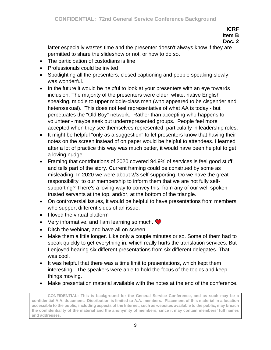## **Doc. 2**

latter especially wastes time and the presenter doesn't always know if they are permitted to share the slideshow or not, or how to do so.

- The participation of custodians is fine
- Professionals could be invited
- Spotlighting all the presenters, closed captioning and people speaking slowly was wonderful.
- In the future it would be helpful to look at your presenters with an eye towards inclusion. The majority of the presenters were older, white, native English speaking, middle to upper middle-class men (who appeared to be cisgender and heterosexual). This does not feel representative of what AA is today - but perpetuates the "Old Boy" network. Rather than accepting who happens to volunteer - maybe seek out underrepresented groups. People feel more accepted when they see themselves represented, particularly in leadership roles.
- It might be helpful "only as a suggestion" to let presenters know that having their notes on the screen instead of on paper would be helpful to attendees. I learned after a lot of practice this way was much better, it would have been helpful to get a loving nudge.
- Framing that contributions of 2020 covered 94.9% of services is feel good stuff, and tells part of the story. Current framing could be construed by some as misleading. In 2020 we were about 2/3 self-supporting. Do we have the great responsibility to our membership to inform them that we are not fully selfsupporting? There's a loving way to convey this, from any of our well-spoken trusted servants at the top, and/or, at the bottom of the triangle.
- On controversial issues, it would be helpful to have presentations from members who support different sides of an issue.
- I loved the virtual platform
- Very informative, and I am learning so much.  $\bullet$
- Ditch the webinar, and have all on screen
- Make them a little longer. Like only a couple minutes or so. Some of them had to speak quickly to get everything in, which really hurts the translation services. But I enjoyed hearing six different presentations from six different delegates. That was cool.
- It was helpful that there was a time limit to presentations, which kept them interesting. The speakers were able to hold the focus of the topics and keep things moving.
- Make presentation material available with the notes at the end of the conference.

**CONFIDENTIAL: This is background for the General Service Conference, and as such may be a confidential A.A. document. Distribution is limited to A.A. members. Placement of this material in a location accessible to the public, including aspects of the Internet, such as websites available to the public, may breach the confidentiality of the material and the anonymity of members, since it may contain members' full names and addresses.**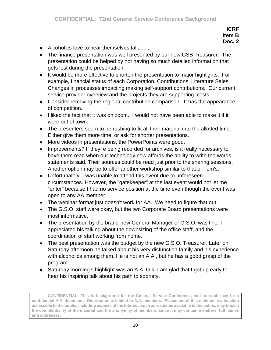- Alcoholics love to hear themselves talk........
- The finance presentation was well presented by our new GSB Treasurer. The presentation could be helped by not having so much detailed information that gets lost during the presentation.
- It would be more effective to shorten the presentation to major highlights. For example, financial status of each Corporation, Contributions, Literature Sales. Changes in processes impacting making self-support contributions. Our current service provider overview and the projects they are supporting, costs.
- Consider removing the regional contribution comparison. It has the appearance of competition.
- I liked the fact that it was on zoom. I would not have been able to make it if it were out of town.
- The presenters seem to be rushing to fit all their material into the allotted time. Either give them more time, or ask for shorter presentations.
- More videos in presentations, the PowerPoints were good.
- Improvements? If they're being recorded for archives, is it really necessary to have them read when our technology now affords the ability to write the words, statements said. Their sources could be read just prior to the sharing sessions. Another option may be to offer another workshop similar to that of Tom's.
- Unfortunately, I was unable to attend this event due to unforeseen circumstances. However, the "gatekeeper" at the last event would not let me "enter" because I had no service position at the time even though the event was open to any AA member.
- The webinar format just doesn't work for AA. We need to figure that out.
- The G.S.O. staff were okay, but the two Corporate Board presentations were most informative.
- The presentation by the brand-new General Manager of G.S.O. was fine. I appreciated his talking about the downsizing of the office staff, and the coordination of staff working from home.
- The best presentation was the budget by the new G.S.O. Treasurer. Later on Saturday afternoon he talked about his very disfunction family and his experience with alcoholics among them. He is not an A.A., but he has a good grasp of the program.
- Saturday morning's highlight was an A.A. talk. I am glad that I got up early to hear his inspiring talk about his path to sobriety.

**CONFIDENTIAL: This is background for the General Service Conference, and as such may be a confidential A.A. document. Distribution is limited to A.A. members. Placement of this material in a location accessible to the public, including aspects of the Internet, such as websites available to the public, may breach the confidentiality of the material and the anonymity of members, since it may contain members' full names and addresses.**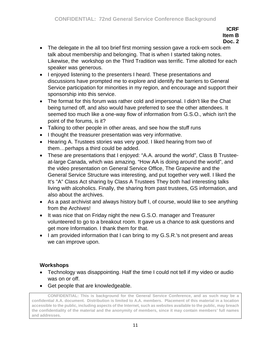- The delegate in the all too brief first morning session gave a rock-em sock-em talk about membership and belonging. That is when I started taking notes. Likewise, the workshop on the Third Tradition was terrific. Time allotted for each speaker was generous.
- I enjoyed listening to the presenters I heard. These presentations and discussions have prompted me to explore and identify the barriers to General Service participation for minorities in my region, and encourage and support their sponsorship into this service.
- The format for this forum was rather cold and impersonal. I didn't like the Chat being turned off, and also would have preferred to see the other attendees. It seemed too much like a one-way flow of information from G.S.O., which isn't the point of the forums, is it?
- Talking to other people in other areas, and see how the stuff runs
- I thought the treasurer presentation was very informative.
- Hearing A. Trustees stories was very good. I liked hearing from two of them…perhaps a third could be added.
- These are presentations that I enjoyed: "A.A. around the world", Class B Trusteeat-large Canada, which was amazing. "How AA is doing around the world", and the video presentation on General Service Office, The Grapevine and the General Service Structure was interesting, and put together very well. I liked the It's "A" Class Act sharing by Class A Trustees They both had interesting talks living with alcoholics. Finally, the sharing from past trustees, GS information, and also about the archives.
- As a past archivist and always history buff I, of course, would like to see anything from the Archives!
- It was nice that on Friday night the new G.S.O. manager and Treasurer volunteered to go to a breakout room. It gave us a chance to ask questions and get more Information. I thank them for that.
- I am provided information that I can bring to my G.S.R.'s not present and areas we can improve upon.

# **Workshops**

- Technology was disappointing. Half the time I could not tell if my video or audio was on or off.
- Get people that are knowledgeable.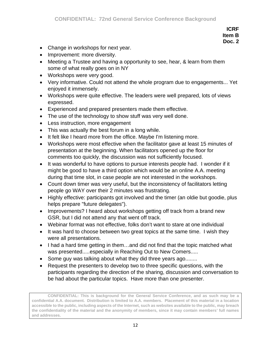- Change in workshops for next year.
- Improvement: more diversity.
- Meeting a Trustee and having a opportunity to see, hear, & learn from them some of what really goes on in NY
- Workshops were very good.
- Very informative. Could not attend the whole program due to engagements... Yet enjoyed it immensely.
- Workshops were quite effective. The leaders were well prepared, lots of views expressed.
- Experienced and prepared presenters made them effective.
- The use of the technology to show stuff was very well done.
- Less instruction, more engagement
- This was actually the best forum in a long while.
- It felt like I heard more from the office. Maybe I'm listening more.
- Workshops were most effective when the facilitator gave at least 15 minutes of presentation at the beginning. When facilitators opened up the floor for comments too quickly, the discussion was not sufficiently focused.
- It was wonderful to have options to pursue interests people had. I wonder if it might be good to have a third option which would be an online A.A. meeting during that time slot, in case people are not interested in the workshops.
- Count down timer was very useful, but the inconsistency of facilitators letting people go WAY over their 2 minutes was frustrating.
- Highly effective: participants got involved and the timer (an oldie but goodie, plus helps prepare "future delegates").
- Improvements? I heard about workshops getting off track from a brand new GSR, but I did not attend any that went off track.
- Webinar format was not effective, folks don't want to stare at one individual
- It was hard to choose between two great topics at the same time. I wish they were all presentations.
- I had a hard time getting in them…and did not find that the topic matched what was presented.....especially in Reaching Out to New Comers.....
- Some guy was talking about what they did three years ago........
- Request the presenters to develop two to three specific questions, with the participants regarding the direction of the sharing, discussion and conversation to be had about the particular topics. Have more than one presenter.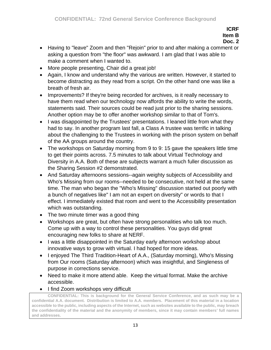- Having to "leave" Zoom and then "Rejoin" prior to and after making a comment or asking a question from "the floor" was awkward. I am glad that I was able to make a comment when I wanted to.
- More people presenting, Chair did a great job!
- Again, I know and understand why the various are written. However, it started to become distracting as they read from a script. On the other hand one was like a breath of fresh air.
- Improvements? If they're being recorded for archives, is it really necessary to have them read when our technology now affords the ability to write the words, statements said. Their sources could be read just prior to the sharing sessions. Another option may be to offer another workshop similar to that of Tom's.
- I was disappointed by the Trustees' presentations. I leaned little from what they had to say. In another program last fall, a Class A trustee was terrific in talking about the challenging to the Trustees in working with the prison system on behalf of the AA groups around the country.
- The workshops on Saturday morning from 9 to 9:15 gave the speakers little time to get their points across. 7.5 minutes to talk about Virtual Technology and Diversity in A.A. Both of these are subjects warrant a much fuller discussion as the Sharing Session #2 demonstrated.
- And Saturday afternoons sessions--again weighty subjects of Accessibility and Who's Missing from our rooms--needed to be consecutive, not held at the same time. The man who began the "Who's Missing" discussion started out poorly with a bunch of negatives like" I am not an expert on diversity" or words to that I effect. I immediately existed that room and went to the Accessibility presentation which was outstanding.
- The two minute timer was a good thing
- Workshops are great, but often have strong personalities who talk too much. Come up with a way to control these personalities. You guys did great encouraging new folks to share at NERF.
- I was a little disappointed in the Saturday early afternoon workshop about innovative ways to grow with virtual. I had hoped for more ideas.
- I enjoyed The Third Tradition-Heart of A.A., (Saturday morning), Who's Missing from Our rooms (Saturday afternoon) which was insightful, and Singleness of purpose in corrections service.
- Need to make it more attend able. Keep the virtual format. Make the archive accessible.
- I find Zoom workshops very difficult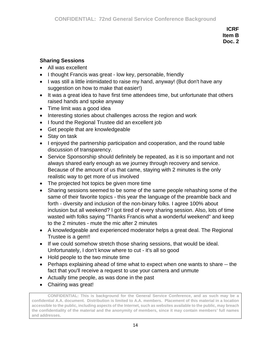# **Sharing Sessions**

- All was excellent
- I thought Francis was great low key, personable, friendly
- I was still a little intimidated to raise my hand, anyway! (But don't have any suggestion on how to make that easier!)
- It was a great idea to have first time attendees time, but unfortunate that others raised hands and spoke anyway
- Time limit was a good idea
- Interesting stories about challenges across the region and work
- I found the Regional Trustee did an excellent job
- Get people that are knowledgeable
- Stay on task
- I enjoyed the partnership participation and cooperation, and the round table discussion of transparency.
- Service Sponsorship should definitely be repeated, as it is so important and not always shared early enough as we journey through recovery and service. Because of the amount of us that came, staying with 2 minutes is the only realistic way to get more of us involved
- The projected hot topics be given more time
- Sharing sessions seemed to be some of the same people rehashing some of the same of their favorite topics - this year the language of the preamble back and forth - diversity and inclusion of the non-binary folks. I agree 100% about inclusion but all weekend? I got tired of every sharing session. Also, lots of time wasted with folks saying "Thanks Francis what a wonderful weekend" and keep to the 2 minutes - mute the mic after 2 minutes
- A knowledgeable and experienced moderator helps a great deal. The Regional Trustee is a gem!!
- If we could somehow stretch those sharing sessions, that would be ideal. Unfortunately, I don't know where to cut - it's all so good
- Hold people to the two minute time
- Perhaps explaining ahead of time what to expect when one wants to share -- the fact that you'll receive a request to use your camera and unmute
- Actually time people, as was done in the past
- Chairing was great!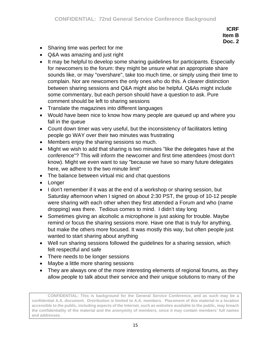- Sharing time was perfect for me
- Q&A was amazing and just right
- It may be helpful to develop some sharing guidelines for participants. Especially for newcomers to the forum: they might be unsure what an appropriate share sounds like, or may "overshare", take too much time, or simply using their time to complain. Nor are newcomers the only ones who do this. A clearer distinction between sharing sessions and Q&A might also be helpful. Q&As might include some commentary, but each person should have a question to ask. Pure comment should be left to sharing sessions
- Translate the magazines into different languages
- Would have been nice to know how many people are queued up and where you fall in the queue
- Count down timer was very useful, but the inconsistency of facilitators letting people go WAY over their two minutes was frustrating
- Members enjoy the sharing sessions so much.
- Might we wish to add that sharing is two minutes "like the delegates have at the conference"? This will inform the newcomer and first time attendees (most don't know). Might we even want to say "because we have so many future delegates here, we adhere to the two minute limit"
- The balance between virtual mic and chat questions
- Longer
- I don't remember if it was at the end of a workshop or sharing session, but Saturday afternoon when I signed on about 2:30 PST, the group of 10-12 people were sharing with each other when they first attended a Forum and who (name dropping) was there. Tedious comes to mind. I didn't stay long
- Sometimes giving an alcoholic a microphone is just asking for trouble. Maybe remind or focus the sharing sessions more. Have one that is truly for anything, but make the others more focused. It was mostly this way, but often people just wanted to start sharing about anything
- Well run sharing sessions followed the guidelines for a sharing session, which felt respectful and safe
- There needs to be longer sessions
- Maybe a little more sharing sessions
- They are always one of the more interesting elements of regional forums, as they allow people to talk about their service and their unique solutions to many of the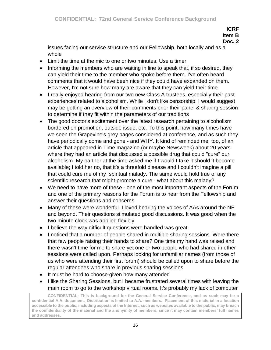**Doc. 2**

issues facing our service structure and our Fellowship, both locally and as a whole

- Limit the time at the mic to one or two minutes. Use a timer
- Informing the members who are waiting in line to speak that, if so desired, they can yield their time to the member who spoke before them. I've often heard comments that it would have been nice if they could have expanded on them. However, I'm not sure how many are aware that they can yield their time
- I really enjoyed hearing from our two new Class A trustees, especially their past experiences related to alcoholism. While I don't like censorship, I would suggest may be getting an overview of their comments prior their panel & sharing session to determine if they fit within the parameters of our traditions
- The good doctor's excitement over the latest research pertaining to alcoholism bordered on promotion, outside issue, etc. To this point, how many times have we seen the Grapevine's grey pages considered at conference, and as such they have periodically come and gone - and WHY. It kind of reminded me, too, of an article that appeared in Time magazine (or maybe Newsweek) about 20 years where they had an article that discussed a possible drug that could "cure" our alcoholism My partner at the time asked me if I would I take it should it become available; I told her no, that it's a threefold disease and I couldn't imagine a pill that could cure me of my spiritual malady. The same would hold true of any scientific research that might promote a cure - what about this malady?
- We need to have more of these one of the most important aspects of the Forum and one of the primary reasons for the Forum is to hear from the Fellowship and answer their questions and concerns
- Many of these were wonderful. I loved hearing the voices of AAs around the NE and beyond. Their questions stimulated good discussions. It was good when the two minute clock was applied flexibly
- I believe the way difficult questions were handled was great
- I noticed that a number of people shared in multiple sharing sessions. Were there that few people raising their hands to share? One time my hand was raised and there wasn't time for me to share yet one or two people who had shared in other sessions were called upon. Perhaps looking for unfamiliar names (from those of us who were attending their first forum) should be called upon to share before the regular attendees who share in previous sharing sessions
- It must be hard to choose given how many attended
- I like the Sharing Sessions, but I became frustrated several times with leaving the main room to go to the workshop virtual rooms. It's probably my lack of computer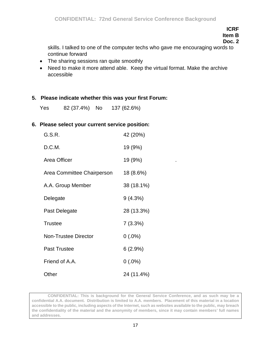**Doc. 2**

skills. I talked to one of the computer techs who gave me encouraging words to continue forward

- The sharing sessions ran quite smoothly
- Need to make it more attend able. Keep the virtual format. Make the archive accessible

## **5. Please indicate whether this was your first Forum:**

Yes 82 (37.4%) No 137 (62.6%)

## **6. Please select your current service position:**

| G.S.R.                      | 42 (20%)   |
|-----------------------------|------------|
| D.C.M.                      | 19 (9%)    |
| Area Officer                | 19 (9%)    |
| Area Committee Chairperson  | 18 (8.6%)  |
| A.A. Group Member           | 38 (18.1%) |
| Delegate                    | 9(4.3%)    |
| Past Delegate               | 28 (13.3%) |
| <b>Trustee</b>              | 7(3.3%)    |
| <b>Non-Trustee Director</b> | $0(.0\%)$  |
| Past Trustee                | 6(2.9%)    |
| Friend of A.A.              | $0(.0\%)$  |
| Other                       | 24 (11.4%) |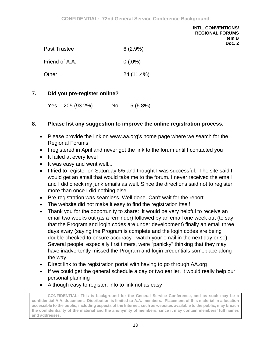| <b>Past Trustee</b> | $6(2.9\%)$ |
|---------------------|------------|
| Friend of A.A.      | $0(.0\%)$  |
| Other               | 24 (11.4%) |

## **7. Did you pre-register online?**

Yes 205 (93.2%) No 15 (6.8%)

## **8. Please list any suggestion to improve the online registration process.**

- Please provide the link on www.aa.org's home page where we search for the Regional Forums
- I registered in April and never got the link to the forum until I contacted you
- It failed at every level
- It was easy and went well...
- I tried to register on Saturday 6/5 and thought I was successful. The site said I would get an email that would take me to the forum. I never received the email and I did check my junk emails as well. Since the directions said not to register more than once I did nothing else.
- Pre-registration was seamless. Well done. Can't wait for the report
- The website did not make it easy to find the registration itself
- Thank you for the opportunity to share: it would be very helpful to receive an email two weeks out (as a reminder) followed by an email one week out (to say that the Program and login codes are under development) finally an email three days away (saying the Program is complete and the login codes are being double-checked to ensure accuracy - watch your email in the next day or so). Several people, especially first timers, were "panicky" thinking that they may have inadvertently missed the Program and login credentials someplace along the way.
- Direct link to the registration portal with having to go through AA.org
- If we could get the general schedule a day or two earlier, it would really help our personal planning
- Although easy to register, info to link not as easy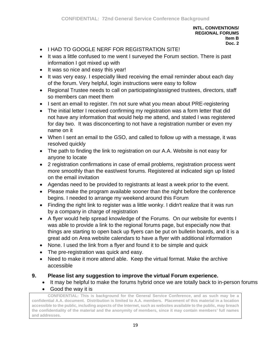- I HAD TO GOOGLE NERE FOR REGISTRATION SITE!
- It was a little confused to me went I surveyed the Forum section. There is past information I got mixed up with
- It was so nice and easy this year!
- It was very easy. I especially liked receiving the email reminder about each day of the forum. Very helpful, login instructions were easy to follow
- Regional Trustee needs to call on participating/assigned trustees, directors, staff so members can meet them
- I sent an email to register. I'm not sure what you mean about PRE-registering
- The initial letter I received confirming my registration was a form letter that did not have any information that would help me attend, and stated I was registered for day two. It was disconcerting to not have a registration number or even my name on it
- When I sent an email to the GSO, and called to follow up with a message, it was resolved quickly
- The path to finding the link to registration on our A.A. Website is not easy for anyone to locate
- 2 registration confirmations in case of email problems, registration process went more smoothly than the east/west forums. Registered at indicated sign up listed on the email invitation
- Agendas need to be provided to registrants at least a week prior to the event.
- Please make the program available sooner than the night before the conference begins. I needed to arrange my weekend around this Forum
- Finding the right link to register was a little wonky. I didn't realize that it was run by a company in charge of registration
- A flyer would help spread knowledge of the Forums. On our website for events I was able to provide a link to the regional forums page, but especially now that things are starting to open back up flyers can be put on bulletin boards, and it is a great add on Area website calendars to have a flyer with additional information
- None. I used the link from a flyer and found it to be simple and quick
- The pre-registration was quick and easy.
- Need to make it more attend able. Keep the virtual format. Make the archive accessible

# **9. Please list any suggestion to improve the virtual Forum experience.**

- It may be helpful to make the forums hybrid once we are totally back to in-person forums
- Good the way it is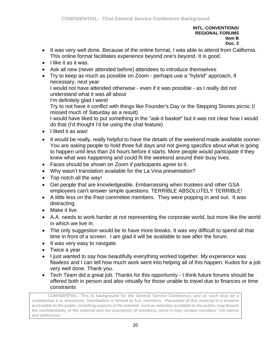- It was very well done. Because of the online format, I was able to attend from California. This online format facilitates experience beyond one's beyond. It is good.
- I like it as it was.
- Ask all new (never attended before) attendees to introduce themselves
- Try to keep as much as possible on Zoom perhaps use a "hybrid" approach, if necessary, next year I would not have attended otherwise - even if it was possible - as I really did not understand what it was all about

I'm definitely glad I went!

Try to not have it conflict with things like Founder's Day or the Stepping Stones picnic (I missed much of Saturday as a result)

I would have liked to put something in the "ask-it basket" but it was not clear how I would do that (I'd thought I'd be using the chat feature)

- I liked it as was!
- It would be really, really helpful to have the details of the weekend made available sooner. You are asking people to hold three full days and not giving specifics about what is going to happen until less than 24 hours before it starts. More people would participate if they knew what was happening and could fit the weekend around their busy lives.
- Faces should be shown on Zoom if participants agree to it.
- Why wasn't translation available for the La Vina presentation?
- Top notch all the way!
- Get people that are knowledgeable. Embarrassing when trustees and other GSA employees can't answer simple questions. TERRIBLE ABSOLUTELY TERRIBLE!
- A little less on the Past committee members. They were popping in and out. It was distracting.
- Make it live
- A.A. needs to work harder at not representing the corporate world, but more like the world in which we live in.
- The only suggestion would be to have more breaks. It was vey difficult to spend all that time in front of a screen. I am glad it will be available to see after the forum.
- It was very easy to navigate.
- Twice a year
- I just wanted to say how beautifully everything worked together. My experience was flawless and I can tell how much work went into helping all of this happen. Kudos for a job very well done. Thank you.
- Tech Team did a great job. Thanks for this opportunity I think future forums should be offered both in person and also virtually for those unable to travel due to finances or time constraints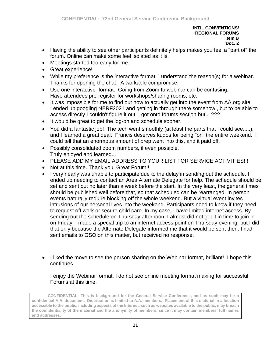- Having the ability to see other participants definitely helps makes you feel a "part of" the forum. Online can make some feel isolated as it is.
- Meetings started too early for me.
- Great experience!
- While my preference is the interactive format, I understand the reason(s) for a webinar. Thanks for opening the chat. A workable compromise.
- Use one interactive format. Going from Zoom to webinar can be confusing. Have attendees pre-register for workshops/sharing rooms, etc..
- It was impossible for me to find out how to actually get into the event from AA.org site. I ended up googling NERF2021 and getting in through there somehow., but to be able to access directly I couldn't figure it out. I got onto forums section but... ???
- It would be great to get the log-on and schedule sooner.
- You did a fantastic job! The tech went smoothly (at least the parts that I could see.....), and I learned a great deal. Francis deserves kudos for being "on" the entire weekend. I could tell that an enormous amount of prep went into this, and it paid off.
- Possibly consolidated zoom numbers, if even possible. Truly enjoyed and learned...
- PLEASE ADD MY EMAIL ADDRESS TO YOUR LIST FOR SERVICE ACTIVITIES!!!
- Not at this time. Thank you. Great Forum!!
- I very nearly was unable to participate due to the delay in sending out the schedule. I ended up needing to contact an Area Alternate Delegate for help. The schedule should be set and sent out no later than a week before the start. In the very least, the general times should be published well before that, so that scheduled can be rearranged. In person events naturally require blocking off the whole weekend. But a virtual event invites intrusions of our personal lives into the weekend. Participants need to know if they need to request off work or secure child care. In my case, I have limited internet access. By sending out the schedule on Thursday afternoon, I almost did not get it in time to join in on Friday. I made a special trip to an internet access point on Thursday evening, but I did that only because the Alternate Delegate informed me that it would be sent then. I had sent emails to GSO on this matter, but received no response.
- I liked the move to see the person sharing on the Webinar format, brilliant! I hope this continues

I enjoy the Webinar format. I do not see online meeting format making for successful Forums at this time.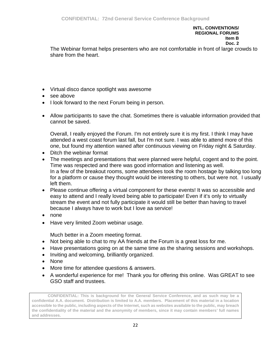The Webinar format helps presenters who are not comfortable in front of large crowds to share from the heart.

- Virtual disco dance spotlight was awesome
- see above
- I look forward to the next Forum being in person.
- Allow participants to save the chat. Sometimes there is valuable information provided that cannot be saved.

Overall, I really enjoyed the Forum. I'm not entirely sure it is my first. I think I may have attended a west coast forum last fall, but I'm not sure. I was able to attend more of this one, but found my attention waned after continuous viewing on Friday night & Saturday.

- Ditch the webinar format
- The meetings and presentations that were planned were helpful, cogent and to the point. Time was respected and there was good information and listening as well. In a few of the breakout rooms, some attendees took the room hostage by talking too long for a platform or cause they thought would be interesting to others, but were not. I usually left them.
- Please continue offering a virtual component for these events! It was so accessible and easy to attend and I really loved being able to participate! Even if it's only to virtually stream the event and not fully participate it would still be better than having to travel because I always have to work but I love aa service!
- none
- Have very limited Zoom webinar usage.

Much better in a Zoom meeting format.

- Not being able to chat to my AA friends at the Forum is a great loss for me.
- Have presentations going on at the same time as the sharing sessions and workshops.
- Inviting and welcoming, brilliantly organized.
- None
- More time for attendee questions & answers.
- A wonderful experience for me! Thank you for offering this online. Was GREAT to see GSO staff and trustees.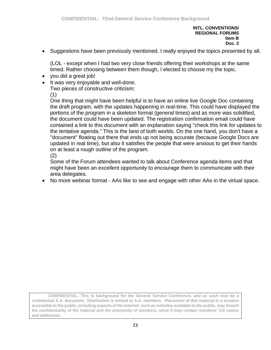• Suggestions have been previously mentioned. I really enjoyed the topics presented by all.

(LOL - except when I had two very close friends offering their workshops at the same timed. Rather choosing between them though, I elected to choose my the topic.

- you did a great job!
- It was very enjoyable and well-done.

Two pieces of constructive criticism:

(1)

One thing that might have been helpful is to have an online live Google Doc containing the draft program, with the updates happening in real-time. This could have displayed the portions of the program in a skeleton format (general times) and as more was solidified, the document could have been updated. The registration confirmation email could have contained a link to this document with an explanation saying "check this link for updates to the tentative agenda." This is the best of both worlds. On the one hand, you don't have a "document" floating out there that ends up not being accurate (because Google Docs are updated in real time), but also it satisfies the people that were anxious to get their hands on at least a rough outline of the program. (2)

Some of the Forum attendees wanted to talk about Conference agenda items and that might have been an excellent opportunity to encourage them to communicate with their area delegates.

• No more webinar format - AAs like to see and engage with other AAs in the virtual space.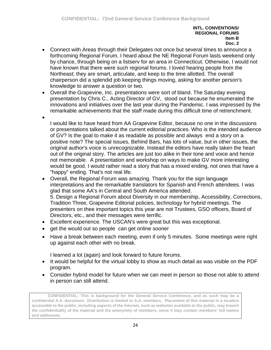- Connect with Areas through their Delegates not once but several times to announce a forthcoming Regional Forum. I heard about the NE Regional Forum lasts weekend only by chance, through being on a listserv for an area in Connecticut. Otherwise, I would not have known that there were such regional forums. I loved hearing people from the Northeast; they are smart, articulate, and keep to the time allotted. The overall chairperson did a splendid job keeping things moving, asking for another person's knowledge to answer a question or two.
- Overall the Grapevine, Inc. presentations were sort of bland. The Saturday evening presentation by Chris C., Acting Director of GV, stood out because he enumerated the innovations and initiatives over the last year during the Pandemic. I was impressed by the remarkable achievements that the staff made during this difficult time of retrenchment.
	- I would like to have heard from AA Grapevine Editor, because no one in the discussions or presentations talked about the current editorial practices. Who is the intended audience of GV? Is the goal to make it as readable as possible and always end a story on a positive note? The special issues, Behind Bars, has lots of value, but in other issues, the original author's voice is unrecognizable. Instead the editors have really taken the heart out of the original story. The articles are just too alike in their tone and voice and hence not memorable. A presentation and workshop on ways to make GV more interesting would be good. I would rather read a story that has a mixed ending, not ones that have a "happy" ending. That's not real life.
- Overall, the Regional Forum was amazing. Thank you for the sign language interpretations and the remarkable translators for Spanish and French attendees. I was glad that some AA's in Central and South America attended. 5. Design a Regional Forum about Diversity in our membership, Accessibility, Corrections, Tradition Three, Grapevine Editorial policies, technology for hybrid meetings. The presenters on thee important topics this year are not Trustees, GSO officers, Board of Directors, etc., and their messages were terrific.
- Excellent experience. The USCAN's were great but this was exceptional.
- get the would out so people can get online sooner

•

• Have a break between each meeting, even if only 5 minutes. Some meetings were right up against each other with no break.

I learned a lot (again) and look forward to future forums.

- It would be helpful for the virtual lobby to show as much detail as was visible on the PDF program.
- Consider hybrid model for future when we can meet in person so those not able to attend in person can still attend.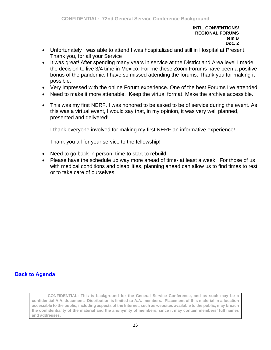- Unfortunately I was able to attend I was hospitalized and still in Hospital at Present. Thank you, for all your Service
- It was great! After spending many years in service at the District and Area level I made the decision to live 3/4 time in Mexico. For me these Zoom Forums have been a positive bonus of the pandemic. I have so missed attending the forums. Thank you for making it possible.
- Very impressed with the online Forum experience. One of the best Forums I've attended.
- Need to make it more attenable. Keep the virtual format. Make the archive accessible.
- This was my first NERF. I was honored to be asked to be of service during the event. As this was a virtual event, I would say that, in my opinion, it was very well planned, presented and delivered!

I thank everyone involved for making my first NERF an informative experience!

Thank you all for your service to the fellowship!

- Need to go back in person, time to start to rebuild.
- Please have the schedule up way more ahead of time- at least a week. For those of us with medical conditions and disabilities, planning ahead can allow us to find times to rest, or to take care of ourselves.

## **[Back to Agenda](#page-1-0)**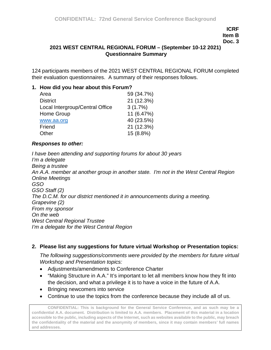## **Doc. 3**

## <span id="page-34-0"></span>**2021 WEST CENTRAL REGIONAL FORUM – (September 10-12 2021) Questionnaire Summary**

124 participants members of the 2021 WEST CENTRAL REGIONAL FORUM completed their evaluation questionnaires. A summary of their responses follows.

### **1. How did you hear about this Forum?**

| 59 (34.7%) |
|------------|
| 21 (12.3%) |
| 3(1.7%)    |
| 11 (6.47%) |
| 40 (23.5%) |
| 21 (12.3%) |
| 15 (8.8%)  |
|            |

#### *Responses to other:*

*I have been attending and supporting forums for about 30 years I'm a delegate Being a trustee An A.A. member at another group in another state. I'm not in the West Central Region Online Meetings GSO GSO Staff (2) The D.C.M. for our district mentioned it in announcements during a meeting. Grapevine (2) From my sponsor On the web West Central Regional Trustee I'm a delegate for the West Central Region*

#### **2. Please list any suggestions for future virtual Workshop or Presentation topics:**

*The following suggestions/comments were provided by the members for future virtual Workshop and Presentation topics:*

- Adjustments/amendments to Conference Charter
- "Making Structure in A.A." It's important to let all members know how they fit into the decision, and what a privilege it is to have a voice in the future of A.A.
- Bringing newcomers into service
- Continue to use the topics from the conference because they include all of us.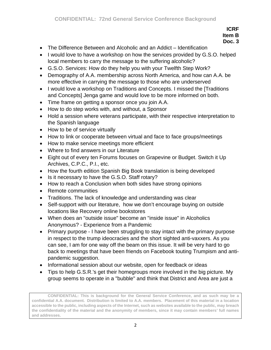- The Difference Between and Alcoholic and an Addict Identification
- I would love to have a workshop on how the services provided by G.S.O. helped local members to carry the message to the suffering alcoholic?
- G.S.O. Services: How do they help you with your Twelfth Step Work?
- Demography of A.A. membership across North America, and how can A.A. be more effective in carrying the message to those who are underserved
- I would love a workshop on Traditions and Concepts. I missed the [Traditions and Concepts] Jenga game and would love to be more informed on both.
- Time frame on getting a sponsor once you join A.A.
- How to do step works with, and without, a Sponsor
- Hold a session where veterans participate, with their respective interpretation to the Spanish language
- How to be of service virtually
- How to link or cooperate between virtual and face to face groups/meetings
- How to make service meetings more efficient
- Where to find answers in our Literature
- Eight out of every ten Forums focuses on Grapevine or Budget. Switch it Up Archives, C.P.C., P.I., etc.
- How the fourth edition Spanish Big Book translation is being developed
- Is it necessary to have the G.S.O. Staff rotary?
- How to reach a Conclusion when both sides have strong opinions
- Remote communities
- Traditions. The lack of knowledge and understanding was clear
- Self-support with our literature, how we don't encourage buying on outside locations like Recovery online bookstores
- When does an "outside issue" become an "inside issue" in Alcoholics Anonymous? - Experience from a Pandemic
- Primary purpose I have been struggling to stay intact with the primary purpose in respect to the trump ideocracies and the short sighted anti-vaxxers. As you can see, I am for one way off the beam on this issue. It will be very hard to go back to meetings that have been friends on Facebook touting Trumpism and antipandemic suggestion.
- Informational session about our website, open for feedback or ideas
- Tips to help G.S.R.'s get their homegroups more involved in the big picture. My group seems to operate in a "bubble" and think that District and Area are just a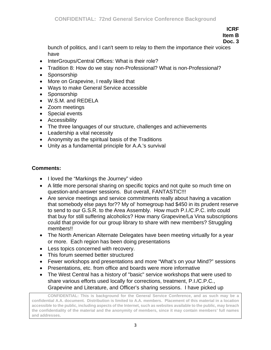# **ICRF**

**Item B Doc. 3**

bunch of politics, and I can't seem to relay to them the importance their voices have

- InterGroups/Central Offices: What is their role?
- Tradition 8: How do we stay non-Professional? What is non-Professional?
- Sponsorship
- More on Grapevine, I really liked that
- Ways to make General Service accessible
- Sponsorship
- W.S.M. and REDELA
- Zoom meetings
- Special events
- Accessibility
- The three languages of our structure, challenges and achievements
- Leadership a vital necessity
- Anonymity as the spiritual basis of the Traditions
- Unity as a fundamental principle for A.A.'s survival

## **Comments:**

- I loved the "Markings the Journey" video
- A little more personal sharing on specific topics and not quite so much time on question-and-answer sessions. But overall, FANTASTIC!!!
- Are service meetings and service commitments really about having a vacation that somebody else pays for?? My ol' homegroup had \$450 in its prudent reserve to send to our G.S.R. to the Area Assembly. How much P.I./C.P.C. info could that buy for still suffering alcoholics? How many Grapevine/La Vina subscriptions could that provide for our group library to share with new members? Struggling members!!
- The North American Alternate Delegates have been meeting virtually for a year or more. Each region has been doing presentations
- Less topics concerned with recovery.
- This forum seemed better structured
- Fewer workshops and presentations and more "What's on your Mind?" sessions
- Presentations, etc. from office and boards were more informative
- The West Central has a history of "basic" service workshops that were used to share various efforts used locally for corrections, treatment, P.I./C.P.C., Grapevine and Literature, and Officer's sharing sessions. I have picked up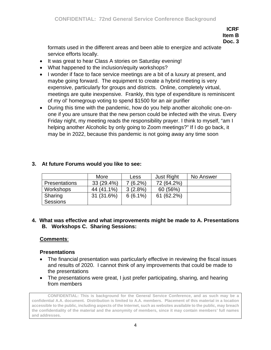**Doc. 3**

formats used in the different areas and been able to energize and activate service efforts locally.

- It was great to hear Class A stories on Saturday evening!
- What happened to the inclusion/equity workshops?
- I wonder if face to face service meetings are a bit of a luxury at present, and maybe going forward. The equipment to create a hybrid meeting is very expensive, particularly for groups and districts. Online, completely virtual, meetings are quite inexpensive. Frankly, this type of expenditure is reminiscent of my ol' homegroup voting to spend \$1500 for an air purifier
- During this time with the pandemic, how do you help another alcoholic one-onone if you are unsure that the new person could be infected with the virus. Every Friday night, my meeting reads the responsibility prayer. I think to myself, "am I helping another Alcoholic by only going to Zoom meetings?" If I do go back, it may be in 2022, because this pandemic is not going away any time soon

|                      | More         | Less       | <b>Just Right</b> | No Answer |
|----------------------|--------------|------------|-------------------|-----------|
| <b>Presentations</b> | $33(29.4\%)$ | 7 (6.2%)   | 72 (64.2%)        |           |
| Workshops            | 44 (41.1%)   | $3(2.8\%)$ | 60 (56%)          |           |
| Sharing<br>Sessions  | 31 (31.6%)   | $6(6.1\%)$ | 61 (62.2%)        |           |

# **3. At future Forums would you like to see:**

## **4. What was effective and what improvements might be made to A. Presentations B. Workshops C. Sharing Sessions:**

# **Comments**:

## **Presentations**

- The financial presentation was particularly effective in reviewing the fiscal issues and results of 2020. I cannot think of any improvements that could be made to the presentations
- The presentations were great, I just prefer participating, sharing, and hearing from members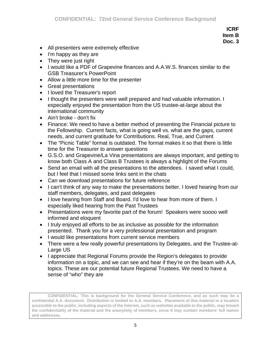- All presenters were extremely effective
- I'm happy as they are
- They were just right
- I would like a PDF of Grapevine finances and A.A.W.S. finances similar to the GSB Treasurer's PowerPoint
- Allow a little more time for the presenter
- Great presentations
- I loved the Treasurer's report
- I thought the presenters were well prepared and had valuable information. I especially enjoyed the presentation from the US trustee-at-large about the international community
- Ain't broke don't fix
- Finance: We need to have a better method of presenting the Financial picture to the Fellowship. Current facts, what is going well vs. what are the gaps, current needs, and current gratitude for Contributions. Real, True, and Current
- The "Picnic Table" format is outdated. The format makes it so that there is little time for the Treasurer to answer questions
- G.S.O. and Grapevine/La Vina presentations are always important, and getting to know both Class A and Class B Trustees is always a highlight of the Forums
- Send an email with all the presentations to the attendees. I saved what I could, but I feel that I missed some links sent in the chats
- Can we download presentations for future reference
- I can't think of any way to make the presentations better. I loved hearing from our staff members, delegates, and past delegates
- I love hearing from Staff and Board. I'd love to hear from more of them. I especially liked hearing from the Past Trustees
- Presentations were my favorite part of the forum! Speakers were soooo well informed and eloquent
- I truly enjoyed all efforts to be as inclusive as possible for the information presented. Thank you for a very professional presentation and program
- I would like presentations from current service members
- There were a few really powerful presentations by Delegates, and the Trustee-at-Large US
- I appreciate that Regional Forums provide the Region's delegates to provide information on a topic, and we can see and hear if they're on the beam with A.A. topics. These are our potential future Regional Trustees. We need to have a sense of "who" they are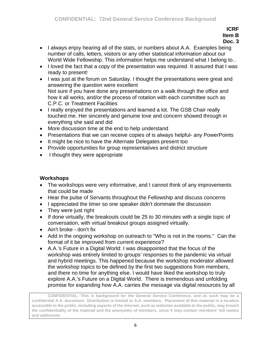- I always enjoy hearing all of the stats, or numbers about A.A. Examples being number of calls, letters, visitors or any other statistical information about our World Wide Fellowship. This information helps me understand what I belong to..
- I loved the fact that a copy of the presentation was required. It assured that I was ready to present!
- I was just at the forum on Saturday. I thought the presentations were great and answering the question were excellent Not sure if you have done any presentations on a walk through the office and how it all works, and/or the process of rotation with each committee such as C.P.C. or Treatment Facilities
- I really enjoyed the presentations and learned a lot. The GSB Chair really touched me. Her sincerely and genuine love and concern showed through in everything she said and did
- More discussion time at the end to help understand
- Presentations that we can receive copies of is always helpful- any PowerPoints
- It might be nice to have the Alternate Delegates present too
- Provide opportunities for group representatives and district structure
- I thought they were appropriate

# **Workshops**

- The workshops were very informative, and I cannot think of any improvements that could be made
- Hear the pulse of Servants throughout the Fellowship and discuss concerns
- I appreciated the timer so one speaker didn't dominate the discussion
- They were just right
- If done virtually, the breakouts could be 25 to 30 minutes with a single topic of conversation, with virtual breakout groups assigned virtually.
- Ain't broke don't fix
- Add in the ongoing workshop on outreach to "Who is not in the rooms." Can the format of it be improved from current experience?
- A.A.'s Future in a Digital World: I was disappointed that the focus of the workshop was entirely limited to groups' responses to the pandemic via virtual and hybrid meetings. This happened because the workshop moderator allowed the workshop topics to be defined by the first two suggestions from members, and there no time for anything else. I would have liked the workshop to truly explore A.A.'s Future on a Digital World. There is tremendous and unfolding promise for expanding how A.A. carries the message via digital resources by all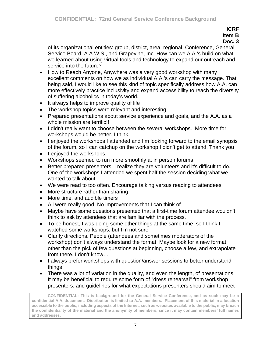**Doc. 3**

of its organizational entities: group, district, area, regional, Conference, General Service Board, A.A.W.S., and Grapevine, Inc. How can we A.A.'s build on what we learned about using virtual tools and technology to expand our outreach and service into the future?

- How to Reach Anyone, Anywhere was a very good workshop with many excellent comments on how we as individual A.A.'s can carry the message. That being said, I would like to see this kind of topic specifically address how A.A. can more effectively practice inclusivity and expand accessibility to reach the diversity of suffering alcoholics in today's world.
- It always helps to improve quality of life
- The workshop topics were relevant and interesting.
- Prepared presentations about service experience and goals, and the A.A. as a whole mission are terrific!!
- I didn't really want to choose between the several workshops. More time for workshops would be better, I think.
- I enjoyed the workshops I attended and I'm looking forward to the email synopsis of the forum, so I can catchup on the workshop I didn't get to attend. Thank you
- I enjoved the workshops.
- Workshops seemed to run more smoothly at in person forums
- Better prepared presenters. I realize they are volunteers and it's difficult to do. One of the workshops I attended we spent half the session deciding what we wanted to talk about
- We were read to too often. Encourage talking versus reading to attendees
- More structure rather than sharing
- More time, and audible timers
- All were really good. No improvements that I can think of
- Maybe have some questions presented that a first-time forum attendee wouldn't think to ask by attendees that are familiar with the process.
- To be honest, I was doing some other things at the same time, so I think I watched some workshops, but I'm not sure
- Clarify directions. People (attendees and sometimes moderators of the workshop) don't always understand the format. Maybe look for a new format, other than the pick of few questions at beginning, choose a few, and extrapolate from there. I don't know…
- I always prefer workshops with question/answer sessions to better understand things
- There was a lot of variation in the quality, and even the length, of presentations. It may be beneficial to require some form of "dress rehearsal" from workshop presenters, and guidelines for what expectations presenters should aim to meet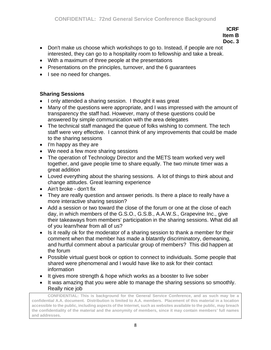**Doc. 3**

- Don't make us choose which workshops to go to. Instead, if people are not interested, they can go to a hospitality room to fellowship and take a break.
- With a maximum of three people at the presentations
- Presentations on the principles, turnover, and the 6 guarantees
- I see no need for changes.

# **Sharing Sessions**

- I only attended a sharing session. I thought it was great
- Many of the questions were appropriate, and I was impressed with the amount of transparency the staff had. However, many of these questions could be answered by simple communication with the area delegates
- The technical staff managed the queue of folks wishing to comment. The tech staff were very effective. I cannot think of any improvements that could be made to the sharing sessions
- I'm happy as they are
- We need a few more sharing sessions
- The operation of Technology Director and the METS team worked very well together, and gave people time to share equally. The two minute timer was a great addition
- Loved everything about the sharing sessions. A lot of things to think about and change attitudes. Great learning experience
- Ain't broke don't fix
- They are really question and answer periods. Is there a place to really have a more interactive sharing session?
- Add a session or two toward the close of the forum or one at the close of each day, in which members of the G.S.O., G.S.B., A.A.W.S., Grapevine Inc., give their takeaways from members' participation in the sharing sessions. What did all of you learn/hear from all of us?
- Is it really ok for the moderator of a sharing session to thank a member for their comment when that member has made a blatantly discriminatory, demeaning, and hurtful comment about a particular group of members? This did happen at the forum
- Possible virtual guest book or option to connect to individuals. Some people that shared were phenomenal and I would have like to ask for their contact information
- It gives more strength & hope which works as a booster to live sober
- It was amazing that you were able to manage the sharing sessions so smoothly. Really nice job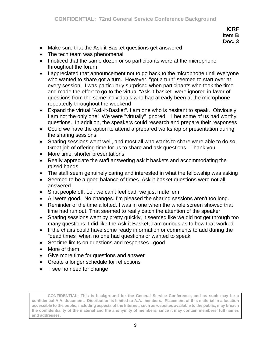- Make sure that the Ask-it-Basket questions get answered
- The tech team was phenomenal
- I noticed that the same dozen or so participants were at the microphone throughout the forum
- I appreciated that announcement not to go back to the microphone until everyone who wanted to share got a turn. However, "got a turn" seemed to start over at every session! I was particularly surprised when participants who took the time and made the effort to go to the virtual "Ask-it-basket" were ignored in favor of questions from the same individuals who had already been at the microphone repeatedly throughout the weekend
- Expand the virtual "Ask-it-Basket". I am one who is hesitant to speak. Obviously, I am not the only one! We were "virtually" ignored! I bet some of us had worthy questions. In addition, the speakers could research and prepare their responses
- Could we have the option to attend a prepared workshop or presentation during the sharing sessions
- Sharing sessions went well, and most all who wants to share were able to do so. Great job of offering time for us to share and ask questions. Thank you
- More time, shorter presentations
- Really appreciate the staff answering ask it baskets and accommodating the raised hands
- The staff seem genuinely caring and interested in what the fellowship was asking
- Seemed to be a good balance of times. Ask-it-basket questions were not all answered
- Shut people off. Lol, we can't feel bad, we just mute 'em
- All were good. No changes. I'm pleased the sharing sessions aren't too long.
- Reminder of the time allotted. I was in one when the whole screen showed that time had run out. That seemed to really catch the attention of the speaker
- Sharing sessions went by pretty quickly, it seemed like we did not get through too many questions. I did like the Ask it Basket, I am curious as to how that worked
- If the chairs could have some ready information or comments to add during the "dead times" when no one had questions or wanted to speak
- Set time limits on questions and responses...good
- More of them
- Give more time for questions and answer
- Create a longer schedule for reflections
- I see no need for change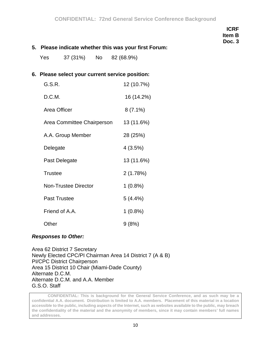#### **5. Please indicate whether this was your first Forum:**

Yes 37 (31%) No 82 (68.9%)

#### **6. Please select your current service position:**

| G.S.R.                      | 12 (10.7%) |
|-----------------------------|------------|
| D.C.M.                      | 16 (14.2%) |
| Area Officer                | $8(7.1\%)$ |
| Area Committee Chairperson  | 13 (11.6%) |
| A.A. Group Member           | 28 (25%)   |
| Delegate                    | 4(3.5%)    |
| Past Delegate               | 13 (11.6%) |
| <b>Trustee</b>              | 2(1.78%)   |
| <b>Non-Trustee Director</b> | $1(0.8\%)$ |
| <b>Past Trustee</b>         | 5(4.4%)    |
| Friend of A.A.              | $1(0.8\%)$ |
| Other                       | 9(8%)      |

#### *Responses to Other:*

Area 62 District 7 Secretary Newly Elected CPC/PI Chairman Area 14 District 7 (A & B) PI/CPC District Chairperson Area 15 District 10 Chair (Miami-Dade County) Alternate D.C.M. Alternate D.C.M. and A.A. Member G.S.O. Staff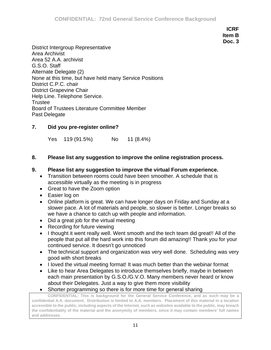District Intergroup Representative Area Archivist Area 52 A.A. archivist G.S.O. Staff Alternate Delegate (2) None at this time, but have held many Service Positions District C.P.C. chair District Grapevine Chair Help Line. Telephone Service. **Trustee** Board of Trustees Literature Committee Member Past Delegate

# **7. Did you pre-register online?**

Yes 119 (91.5%) No 11 (8.4%)

## **8. Please list any suggestion to improve the online registration process.**

## **9. Please list any suggestion to improve the virtual Forum experience.**

- Transition between rooms could have been smoother. A schedule that is accessible virtually as the meeting is in progress
- Great to have the Zoom option
- Easier log on
- Online platform is great. We can have longer days on Friday and Sunday at a slower pace. A lot of materials and people, so slower is better. Longer breaks so we have a chance to catch up with people and information.
- Did a great job for the virtual meeting
- Recording for future viewing
- I thought it went really well. Went smooth and the tech team did great!! All of the people that put all the hard work into this forum did amazing!! Thank you for your continued service. It doesn't go unnoticed
- The technical support and organization was very well done. Scheduling was very good with short breaks
- I loved the virtual meeting format! It was much better than the webinar format
- Like to hear Area Delegates to introduce themselves briefly, maybe in between each main presentation by G.S.O./G.V.O. Many members never heard or know about their Delegates. Just a way to give them more visibility
- Shorter programming so there is for more time for general sharing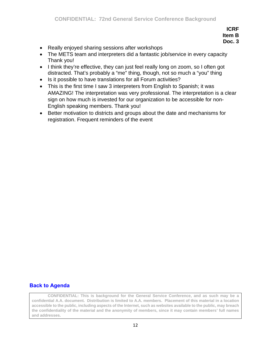- Really enjoyed sharing sessions after workshops
- The METS team and interpreters did a fantastic job/service in every capacity Thank you!
- I think they're effective, they can just feel really long on zoom, so I often got distracted. That's probably a "me" thing, though, not so much a "you" thing
- Is it possible to have translations for all Forum activities?
- This is the first time I saw 3 interpreters from English to Spanish; it was AMAZING! The interpretation was very professional. The interpretation is a clear sign on how much is invested for our organization to be accessible for non-English speaking members. Thank you!
- Better motivation to districts and groups about the date and mechanisms for registration. Frequent reminders of the event

## **[Back to Agenda](#page-1-0)**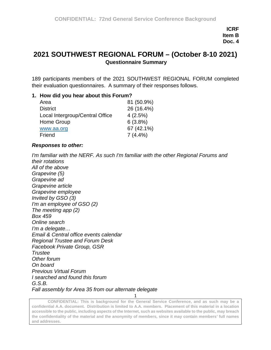# **2021 SOUTHWEST REGIONAL FORUM – (October 8-10 2021) Questionnaire Summary**

189 participants members of the 2021 SOUTHWEST REGIONAL FORUM completed their evaluation questionnaires. A summary of their responses follows.

#### **1. How did you hear about this Forum?**

| Area                            | 81 (50.9%) |
|---------------------------------|------------|
| <b>District</b>                 | 26 (16.4%) |
| Local Intergroup/Central Office | 4(2.5%)    |
| Home Group                      | 6(3.8%)    |
| www.aa.org                      | 67 (42.1%) |
| Friend                          | $7(4.4\%)$ |

#### *Responses to other:*

*I'm familiar with the NERF. As such I'm familiar with the other Regional Forums and their rotations All of the above Grapevine (5)*

*Grapevine ad Grapevine article Grapevine employee Invited by GSO (3) I'm an employee of GSO (2) The meeting app (2) Box 459 Online search I'm a delegate… Email & Central office events calendar Regional Trustee and Forum Desk Facebook Private Group, GSR Trustee Other forum On board Previous Virtual Forum I searched and found this forum G.S.B. Fall assembly for Area 35 from our alternate delegate*

**CONFIDENTIAL: This is background for the General Service Conference, and as such may be a confidential A.A. document. Distribution is limited to A.A. members. Placement of this material in a location accessible to the public, including aspects of the Internet, such as websites available to the public, may breach the confidentiality of the material and the anonymity of members, since it may contain members' full names and addresses.** 

1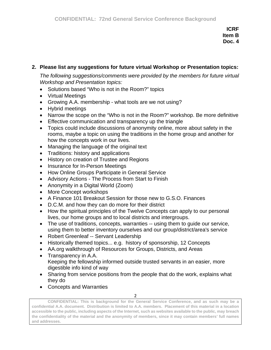# **2. Please list any suggestions for future virtual Workshop or Presentation topics:**

*The following suggestions/comments were provided by the members for future virtual Workshop and Presentation topics:*

- Solutions based "Who is not in the Room?" topics
- Virtual Meetings
- Growing A.A. membership what tools are we not using?
- Hybrid meetings
- Narrow the scope on the "Who is not in the Room?" workshop. Be more definitive
- Effective communication and transparency up the triangle
- Topics could include discussions of anonymity online, more about safety in the rooms, maybe a topic on using the traditions in the home group and another for how the concepts work in our lives.
- Managing the language of the original text
- Traditions: history and applications
- History on creation of Trustee and Regions
- Insurance for In-Person Meetings
- How Online Groups Participate in General Service
- Advisory Actions The Process from Start to Finish
- Anonymity in a Digital World (Zoom)
- More Concept workshops
- A Finance 101 Breakout Session for those new to G.S.O. Finances
- D.C.M. and how they can do more for their district
- How the spiritual principles of the Twelve Concepts can apply to our personal lives, our home groups and to local districts and intergroups.
- The use of traditions, concepts, warranties -- using them to guide our service, using them to better inventory ourselves and our group/district/area's service
- Robert Greenleaf -- Servant Leadership
- Historically themed topics... e.g. history of sponsorship, 12 Concepts
- AA.org walkthrough of Resources for Groups, Districts, and Areas
- Transparency in A.A. Keeping the fellowship informed outside trusted servants in an easier, more digestible info kind of way
- Sharing from service positions from the people that do the work, explains what they do
- Concepts and Warranties

2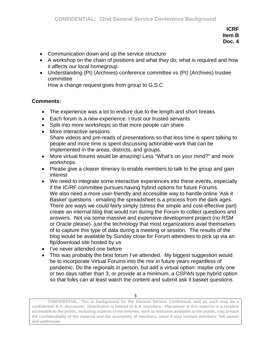- Communication down and up the service structure
- A workshop on the chain of positions and what they do; what is required and how it affects our local homegroup.
- Understanding (PI) (Archives) conference committee vs (PI) (Archives) trustee committee

How a change request goes from group to G.S.C.

## **Comments:**

- The experience was a lot to endure due to the length and short breaks
- Each forum is a new experience. I trust our trusted servants
- Split into more workshops so that more people can share
- More interactive sessions Share videos and pre-reads of presentations so that less time is spent talking to people and more time is spent discussing actionable work that can be implemented in the areas, districts, and groups.
- More virtual forums would be amazing! Less "What's on your mind?" and more workshops
- Please give a clearer itinerary to enable members to talk to the group and gain interest
- We need to integrate some interactive experiences into these events, especially if the IC/RF committee pursues having hybrid options for future Forums. We also need a more user-friendly and accessible way to handle online 'Ask it Basket' questions - emailing the spreadsheet is a process from the dark ages. There are ways we could fairly simply (stress the simple and cost-effective part) create an internal blog that would run during the Forum to collect questions and answers. Not via some massive and expensive development project (no RSM or Oracle please)- just the technology that most organizations avail themselves of to capture this type of data during a meeting or session. The results of the blog would be available by Sunday close for Forum attendees to pick up via an ftp/download site hosted by us
- I've never attended one before
- This was probably the best forum I've attended. My biggest suggestion would be to incorporate Virtual Forums into the mix in future years regardless of pandemic. Do the regionals in person, but add a virtual option: maybe only one or two days rather than 3, or provide at a minimum, a CSPAN type hybrid option so that folks can at least watch the content and submit ask it basket questions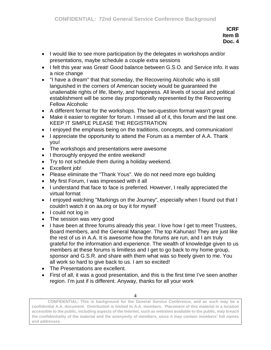- I would like to see more participation by the delegates in workshops and/or presentations, maybe schedule a couple extra sessions
- I felt this year was Great! Good balance between G.S.O. and Service info. It was a nice change
- "I have a dream" that that someday, the Recovering Alcoholic who is still languished in the corners of American society would be guaranteed the unalienable rights of life, liberty, and happiness. All levels of social and political establishment will be some day proportionally represented by the Recovering Fellow Alcoholic
- A different format for the workshops. The two-question format wasn't great
- Make it easier to register for forum. I missed all of it, this forum and the last one. KEEP IT SIMPLE PLEASE THE REGISTRATION
- I enjoyed the emphasis being on the traditions, concepts, and communication!
- I appreciate the opportunity to attend the Forum as a member of A.A. Thank you!
- The workshops and presentations were awesome
- I thoroughly enjoyed the entire weekend!
- Try to not schedule them during a holiday weekend.
- Excellent job!
- Please eliminate the "Thank Yous". We do not need more ego building
- My first Forum, I was impressed with it all
- I understand that face to face is preferred. However, I really appreciated the virtual format
- I enjoyed watching "Markings on the Journey", especially when I found out that I couldn't watch it on aa.org or buy it for myself
- I could not log in
- The session was very good
- I have been at three forums already this year. I love how I get to meet Trustees, Board members, and the General Manager. The top Kahunas! They are just like the rest of us in A.A. It is awesome how the forums are run, and I am truly grateful for the information and experience. The wealth of knowledge given to us members at these forums is limitless and I get to go back to my home group, sponsor and G.S.R. and share with them what was so freely given to me. You all work so hard to give back to us. I am so excited!
- The Presentations are excellent.
- First of all, it was a good presentation, and this is the first time I've seen another region. I'm just if is different. Anyway, thanks for all your work

<sup>4</sup>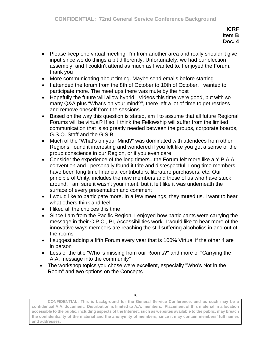- Please keep one virtual meeting. I'm from another area and really shouldn't give input since we do things a bit differently. Unfortunately, we had our election assembly, and I couldn't attend as much as I wanted to. I enjoyed the Forum, thank you
- More communicating about timing. Maybe send emails before starting
- I attended the forum from the 8th of October to 10th of October. I wanted to participate more. The meet ups there was mute by the host
- Hopefully the future will allow hybrid. Videos this time were good, but with so many Q&A plus "What's on your mind?", there left a lot of time to get restless and remove oneself from the sessions
- Based on the way this question is stated, am I to assume that all future Regional Forums will be virtual? If so, I think the Fellowship will suffer from the limited communication that is so greatly needed between the groups, corporate boards, G.S.O. Staff and the G.S.B.
- Much of the "What's on your Mind?" was dominated with attendees from other Regions, found it interesting and wondered if you felt like you got a sense of the group conscience in our Region, or if you even care
- Consider the experience of the long timers...the Forum felt more like a Y.P.A.A. convention and I personally found it trite and disrespectful. Long time members have been long time financial contributors, literature purchasers, etc. Our principle of Unity, includes the new members and those of us who have stuck around. I am sure it wasn't your intent, but it felt like it was underneath the surface of every presentation and comment
- I would like to participate more. In a few meetings, they muted us. I want to hear what others think and feel
- I liked all the choices this time
- Since I am from the Pacific Region, I enjoyed how participants were carrying the message in their C.P.C., PI, Accessibilities work. I would like to hear more of the innovative ways members are reaching the still suffering alcoholics in and out of the rooms
- I suggest adding a fifth Forum every year that is 100% Virtual if the other 4 are in person
- Less of the title "Who is missing from our Rooms?" and more of "Carrying the A.A. message into the community"
- The workshop topics you chose were excellent, especially "Who's Not in the Room" and two options on the Concepts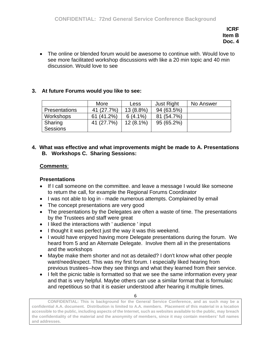• The online or blended forum would be awesome to continue with. Would love to see more facilitated workshop discussions with like a 20 min topic and 40 min discussion. Would love to see

## **3. At future Forums would you like to see:**

|                      | More       | Less        | <b>Just Right</b> | No Answer |
|----------------------|------------|-------------|-------------------|-----------|
| <b>Presentations</b> | 41 (27.7%) | 13 (8.8%)   | 94 (63.5%)        |           |
| Workshops            | 61(41.2%)  | $6(4.1\%)$  | 81 (54.7%)        |           |
| Sharing              | 41 (27.7%) | $12(8.1\%)$ | 95 (65.2%)        |           |
| Sessions             |            |             |                   |           |

#### **4. What was effective and what improvements might be made to A. Presentations B. Workshops C. Sharing Sessions:**

#### **Comments**:

#### **Presentations**

- If I call someone on the committee. and leave a message I would like someone to return the call, for example the Regional Forums Coordinator
- I was not able to log in made numerous attempts. Complained by email
- The concept presentations are very good
- The presentations by the Delegates are often a waste of time. The presentations by the Trustees and staff were great
- I liked the interactions with ' audience ' input
- I thought it was perfect just the way it was this weekend.
- I would have enjoyed having more Delegate presentations during the forum. We heard from 5 and an Alternate Delegate. Involve them all in the presentations and the workshops
- Maybe make them shorter and not as detailed? I don't know what other people want/need/expect. This was my first forum. I especially liked hearing from previous trustees--how they see things and what they learned from their service.
- I felt the picnic table is formatted so that we see the same information every year and that is very helpful. Maybe others can use a similar format that is formulaic and repetitious so that it is easier understood after hearing it multiple times.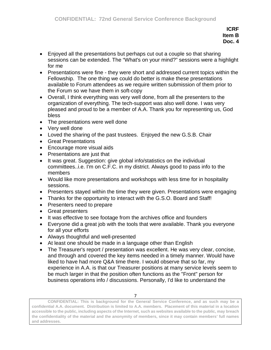- Enjoyed all the presentations but perhaps cut out a couple so that sharing sessions can be extended. The "What's on your mind?" sessions were a highlight for me
- Presentations were fine they were short and addressed current topics within the Fellowship. The one thing we could do better is make these presentations available to Forum attendees as we require written submission of them prior to the Forum so we have them in soft-copy
- Overall, I think everything was very well done, from all the presenters to the organization of everything. The tech-support was also well done. I was very pleased and proud to be a member of A.A. Thank you for representing us, God bless
- The presentations were well done
- Very well done
- Loved the sharing of the past trustees. Enjoyed the new G.S.B. Chair
- Great Presentations
- Encourage more visual aids
- Presentations are just that
- It was great. Suggestion: give global info/statistics on the individual committees..i.e. I'm on C.F.C. in my district. Always good to pass info to the members
- Would like more presentations and workshops with less time for in hospitality sessions.
- Presenters stayed within the time they were given. Presentations were engaging
- Thanks for the opportunity to interact with the G.S.O. Board and Staff!
- Presenters need to prepare
- Great presenters
- It was effective to see footage from the archives office and founders
- Everyone did a great job with the tools that were available. Thank you everyone for all your efforts
- Always thoughtful and well-presented
- At least one should be made in a language other than English
- The Treasurer's report / presentation was excellent. He was very clear, concise, and through and covered the key items needed in a timely manner. Would have liked to have had more Q&A time there. I would observe that so far, my experience in A.A. is that our Treasurer positions at many service levels seem to be much larger in that the position often functions as the "Front" person for business operations info / discussions. Personally, I'd like to understand the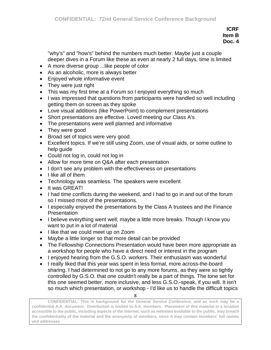"why's" and "how's" behind the numbers much better. Maybe just a couple deeper dives in a Forum like these as even at nearly 2 full days, time is limited

- A more diverse group ...like people of color
- As an alcoholic, more is always better
- Enjoyed whole informative event
- They were just right
- This was my first time at a Forum so I enjoyed everything so much
- I was impressed that questions from participants were handled so well including getting them on screen as they spoke
- Love visual additions (like PowerPoint) to complement presentations
- Short presentations are effective. Loved meeting our Class A's
- The presentations were well planned and informative
- They were good
- Broad set of topics were very good.
- Excellent topics. If we're still using Zoom, use of visual aids, or some outline to help guide
- Could not log in, could not log in
- Allow for more time on Q&A after each presentation
- I don't see any problem with the effectiveness on presentations
- I like all of them
- Technology was seamless. The speakers were excellent
- It was GREAT!
- I had time conflicts during the weekend, and I had to go in and out of the forum so I missed most of the presentations.
- I especially enjoyed the presentations by the Class A trustees and the Finance **Presentation**
- I believe everything went well; maybe a little more breaks. Though I know you want to put in a lot of material
- I like that we could meet up on Zoom
- Maybe a little longer so that more detail can be provided
- The Fellowship Connections Presentation would have been more appropriate as a workshop for people who have a direct need or interest in the program
- I enjoyed hearing from the G.S.O. workers. Their enthusiasm was wonderful
- I really liked that this year was spent in less formal, more across-the-board sharing. I had determined to not go to any more forums, as they were so tightly controlled by G.S.O. that one couldn't really be a part of things. The tone set for this one seemed better, more inclusive, and less G.S.O.-speak, if you will. It isn't so much which presentation, or workshop - I'd like us to handle the difficult topics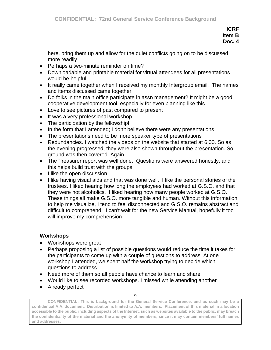here, bring them up and allow for the quiet conflicts going on to be discussed more readily

- Perhaps a two-minute reminder on time?
- Downloadable and printable material for virtual attendees for all presentations would be helpful
- It really came together when I received my monthly Intergroup email. The names and items discussed came together
- Do folks in the main office participate in assn management? It might be a good cooperative development tool, especially for even planning like this
- Love to see pictures of past compared to present
- It was a very professional workshop
- The participation by the fellowship!
- In the form that I attended; I don't believe there were any presentations
- The presentations need to be more speaker type of presentations
- Redundancies. I watched the videos on the website that started at 6:00. So as the evening progressed, they were also shown throughout the presentation. So ground was then covered. Again
- The Treasurer report was well done. Questions were answered honestly, and this helps build trust with the groups
- I like the open discussion
- I like having visual aids and that was done well. I like the personal stories of the trustees. I liked hearing how long the employees had worked at G.S.O. and that they were not alcoholics. I liked hearing how many people worked at G.S.O. These things all make G.S.O. more tangible and human. Without this information to help me visualize, I tend to feel disconnected and G.S.O. remains abstract and difficult to comprehend. I can't wait for the new Service Manual, hopefully it too will improve my comprehension

## **Workshops**

- Workshops were great
- Perhaps proposing a list of possible questions would reduce the time it takes for the participants to come up with a couple of questions to address. At one workshop I attended, we spent half the workshop trying to decide which questions to address
- Need more of them so all people have chance to learn and share
- Would like to see recorded workshops. I missed while attending another
- Already perfect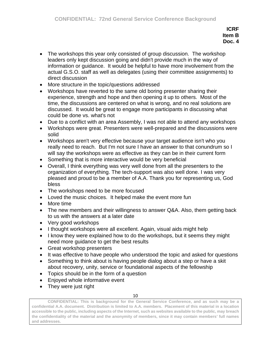- The workshops this year only consisted of group discussion. The workshop leaders only kept discussion going and didn't provide much in the way of information or guidance. It would be helpful to have more involvement from the actual G.S.O. staff as well as delegates (using their committee assignments) to direct discussion
- More structure in the topic/questions addressed
- Workshops have reverted to the same old boring presenter sharing their experience, strength and hope and then opening it up to others. Most of the time, the discussions are centered on what is wrong, and no real solutions are discussed. It would be great to engage more participants in discussing what could be done vs. what's not
- Due to a conflict with an area Assembly, I was not able to attend any workshops
- Workshops were great. Presenters were well-prepared and the discussions were solid
- Workshops aren't very effective because your target audience isn't who you really need to reach. But I'm not sure I have an answer to that conundrum so I will say the workshops were as effective as they can be in their current form
- Something that is more interactive would be very beneficial
- Overall, I think everything was very well done from all the presenters to the organization of everything. The tech-support was also well done. I was very pleased and proud to be a member of A.A. Thank you for representing us, God bless
- The workshops need to be more focused
- Loved the music choices. It helped make the event more fun
- More time
- The new members and their willingness to answer Q&A. Also, them getting back to us with the answers at a later date
- Very good workshops
- I thought workshops were all excellent. Again, visual aids might help
- I know they were explained how to do the workshops, but it seems they might need more guidance to get the best results
- Great workshop presenters
- It was effective to have people who understood the topic and asked for questions
- Something to think about is having people dialog about a step or have a skit about recovery, unity, service or foundational aspects of the fellowship
- Topics should be in the form of a question
- Enjoyed whole informative event
- They were just right

10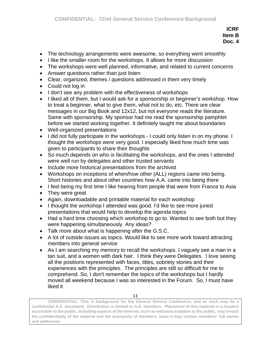- The technology arrangements were awesome, so everything went smoothly
- I like the smaller room for the workshops. It allows for more discussion
- The workshops were well planned, informative, and related to current concerns
- Answer questions rather than just listen
- Clear, organized, themes / questions addressed in them very timely
- Could not log in
- I don't see any problem with the effectiveness of workshops
- I liked all of them, but I would ask for a sponsorship or beginner's workshop. How to treat a beginner, what to give them, what not to do, etc. There are clear messages in our Big Book and 12x12, but not everyone reads the literature. Same with sponsorship. My sponsor had me read the sponsorship pamphlet before we started working together. It definitely taught me about boundaries
- Well-organized presentations
- I did not fully participate in the workshops I could only listen in on my phone. I thought the workshops were very good. I especially liked how much time was given to participants to share their thoughts
- So much depends on who is facilitating the workshops, and the ones I attended were well run by delegates and other trusted servants
- Include more historical presentations from the archivist
- Workshops on inceptions of when/how other (ALL) regions came into being. Short histories and about other countries how A.A. came into being there
- I feel being my first time I like hearing from people that were from France to Asia
- They were great
- Again, downloadable and printable material for each workshop
- I thought the workshop I attended was good. I'd like to see more juried presentations that would help to develop the agenda topics
- Had a hard time choosing which workshop to go to. Wanted to see both but they were happening simultaneously. Any ideas?
- Talk more about what is happening after the G.S.C.
- A lot of outside issues as topics. Would like to see more work toward attracting members into general service
- As I am searching my memory to recall the workshops. I vaguely see a man in a tan suit, and a women with dark hair. I think they were Delegates. I love seeing all the positions represented with faces, titles, sobriety stories and their experiences with the principles. The principles are still so difficult for me to comprehend. So, I don't remember the topics of the workshops but I hardly moved all weekend because I was so interested in the Forum. So, I must have liked it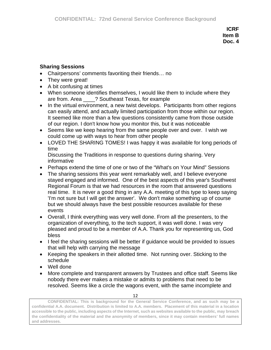#### **Sharing Sessions**

- Chairpersons' comments favoriting their friends… no
- They were great!
- A bit confusing at times
- When someone identifies themselves, I would like them to include where they are from. Area \_\_\_\_? Southeast Texas, for example
- In the virtual environment, a new twist develops. Participants from other regions can easily attend, and actually limited participation from those within our region. It seemed like more than a few questions consistently came from those outside of our region. I don't know how you monitor this, but it was noticeable
- Seems like we keep hearing from the same people over and over. I wish we could come up with ways to hear from other people
- LOVED THE SHARING TOMES! I was happy it was available for long periods of time Discussing the Traditions in response to questions during sharing. Very
	- informative
- Perhaps extend the time of one or two of the "What's on Your Mind" Sessions
- The sharing sessions this year went remarkably well, and I believe everyone stayed engaged and informed. One of the best aspects of this year's Southwest Regional Forum is that we had resources in the room that answered questions real time. It is never a good thing in any A.A. meeting of this type to keep saying 'I'm not sure but I will get the answer'. We don't make something up of course but we should always have the best possible resources available for these events
- Overall, I think everything was very well done. From all the presenters, to the organization of everything, to the tech support, it was well done. I was very pleased and proud to be a member of A.A. Thank you for representing us, God bless
- I feel the sharing sessions will be better if guidance would be provided to issues that will help with carrying the message
- Keeping the speakers in their allotted time. Not running over. Sticking to the schedule
- Well done
- More complete and transparent answers by Trustees and office staff. Seems like nobody there ever makes a mistake or admits to problems that need to be resolved. Seems like a circle the wagons event, with the same incomplete and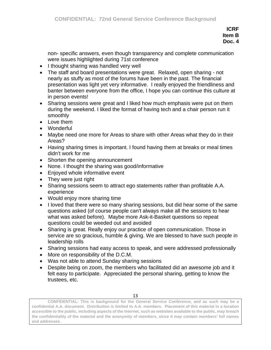non- specific answers, even though transparency and complete communication were issues highlighted during 71st conference

- I thought sharing was handled very well
- The staff and board presentations were great. Relaxed, open sharing not nearly as stuffy as most of the forums have been in the past. The financial presentation was light yet very informative. I really enjoyed the friendliness and banter between everyone from the office, I hope you can continue this culture at in person events!
- Sharing sessions were great and I liked how much emphasis were put on them during the weekend. I liked the format of having tech and a chair person run it smoothly
- Love them
- Wonderful
- Maybe need one more for Areas to share with other Areas what they do in their Areas?
- Having sharing times is important. I found having them at breaks or meal times didn't work for me
- Shorten the opening announcement
- None. I thought the sharing was good/informative
- Enjoyed whole informative event
- They were just right
- Sharing sessions seem to attract ego statements rather than profitable A.A. experience
- Would enjoy more sharing time
- I loved that there were so many sharing sessions, but did hear some of the same questions asked (of course people can't always make all the sessions to hear what was asked before). Maybe more Ask-it-Basket questions so repeat questions could be weeded out and avoided
- Sharing is great. Really enjoy our practice of open communication. Those in service are so gracious, humble & giving. We are blessed to have such people in leadership rolls
- Sharing sessions had easy access to speak, and were addressed professionally
- More on responsibility of the D.C.M.
- Was not able to attend Sunday sharing sessions
- Despite being on zoom, the members who facilitated did an awesome job and it felt easy to participate. Appreciated the personal sharing, getting to know the trustees, etc.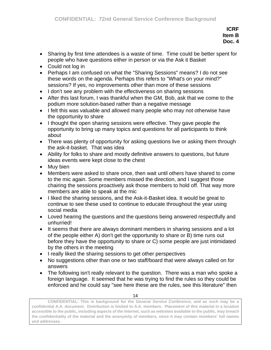- Sharing by first time attendees is a waste of time. Time could be better spent for people who have questions either in person or via the Ask it Basket
- Could not log in
- Perhaps I am confused on what the "Sharing Sessions" means? I do not see these words on the agenda. Perhaps this refers to "What's on your mind?" sessions? If yes, no improvements other than more of these sessions
- I don't see any problem with the effectiveness on sharing sessions
- After this last forum, I was thankful when the GM, Bob, ask that we come to the podium more solution-based rather than a negative message
- I felt this was valuable and allowed many people who may not otherwise have the opportunity to share
- I thought the open sharing sessions were effective. They gave people the opportunity to bring up many topics and questions for all participants to think about
- There was plenty of opportunity for asking questions live or asking them through the ask-it-basket. That was idea
- Ability for folks to share and mostly definitive answers to questions, but future ideas events were kept close to the chest
- Muy bien
- Members were asked to share once, then wait until others have shared to come to the mic again. Some members missed the direction, and I suggest those chairing the sessions proactively ask those members to hold off. That way more members are able to speak at the mic
- I liked the sharing sessions, and the Ask-it-Basket idea. It would be great to continue to see these used to continue to educate throughout the year using social media
- Loved hearing the questions and the questions being answered respectfully and unhurried!
- It seems that there are always dominant members in sharing sessions and a lot of the people either A) don't get the opportunity to share or B) time runs out before they have the opportunity to share or C) some people are just intimidated by the others in the meeting
- I really liked the sharing sessions to get other perspectives
- No suggestions other than one or two staff/board that were always called on for answers
- The following isn't really relevant to the question. There was a man who spoke a foreign language. It seemed that he was trying to find the rules so they could be enforced and he could say "see here these are the rules, see this literature" then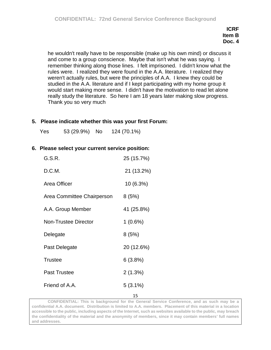he wouldn't really have to be responsible (make up his own mind) or discuss it and come to a group conscience. Maybe that isn't what he was saying. I remember thinking along those lines. I felt imprisoned. I didn't know what the rules were. I realized they were found in the A.A. literature. I realized they weren't actually rules, but were the principles of A.A. I knew they could be studied in the A.A. literature and if I kept participating with my home group it would start making more sense. I didn't have the motivation to read let alone really study the literature. So here I am 18 years later making slow progress. Thank you so very much

#### **5. Please indicate whether this was your first Forum:**

Yes 53 (29.9%) No 124 (70.1%)

#### **6. Please select your current service position:**

| G.S.R.                      | 25 (15.7%) |
|-----------------------------|------------|
| D.C.M.                      | 21 (13.2%) |
| Area Officer                | 10 (6.3%)  |
| Area Committee Chairperson  | 8(5%)      |
| A.A. Group Member           | 41 (25.8%) |
| <b>Non-Trustee Director</b> | 1(0.6%)    |
| Delegate                    | 8(5%)      |
| Past Delegate               | 20 (12.6%) |
| <b>Trustee</b>              | 6(3.8%)    |
| <b>Past Trustee</b>         | 2(1.3%)    |
| Friend of A.A.              | $5(3.1\%)$ |
|                             | 15         |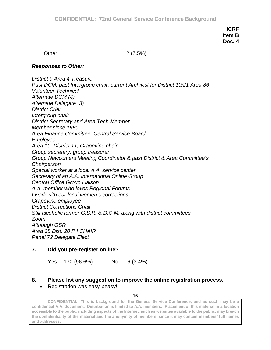Other 12 (7.5%)

#### *Responses to Other:*

*District 9 Area 4 Treasure Past DCM, past Intergroup chair, current Archivist for District 10/21 Area 86 Volunteer Technical Alternate DCM (4) Alternate Delegate (3) District Crier Intergroup chair District Secretary and Area Tech Member Member since 1980 Area Finance Committee, Central Service Board Employee Area 10, District 11, Grapevine chair Group secretary; group treasurer Group Newcomers Meeting Coordinator & past District & Area Committee's Chairperson Special worker at a local A.A. service center Secretary of an A.A. International Online Group Central Office Group Liaison A.A. member who loves Regional Forums I work with our local women's corrections Grapevine employee District Corrections Chair Still alcoholic former G.S.R. & D.C.M. along with district committees Zoom Although GSR Area 38 Dist. 20 P I CHAIR Panel 72 Delegate Elect*

#### **7. Did you pre-register online?**

Yes 170 (96.6%) No 6 (3.4%)

#### **8. Please list any suggestion to improve the online registration process.**

#### • Registration was easy-peasy!

16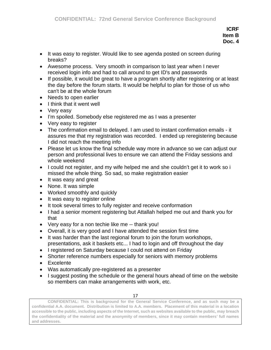- It was easy to register. Would like to see agenda posted on screen during breaks?
- Awesome process. Very smooth in comparison to last year when I never received login info and had to call around to get ID's and passwords
- If possible, it would be great to have a program shortly after registering or at least the day before the forum starts. It would be helpful to plan for those of us who can't be at the whole forum
- Needs to open earlier
- I think that it went well
- Very easy
- I'm spoiled. Somebody else registered me as I was a presenter
- Very easy to register
- The confirmation email to delayed. I am used to instant confirmation emails it assures me that my registration was recorded. I ended up reregistering because I did not reach the meeting info
- Please let us know the final schedule way more in advance so we can adjust our person and professional lives to ensure we can attend the Friday sessions and whole weekend
- I could not register, and my wife helped me and she couldn't get it to work so i missed the whole thing. So sad, so make registration easier
- It was easy and great
- None. It was simple
- Worked smoothly and quickly
- It was easy to register online
- It took several times to fully register and receive conformation
- I had a senior moment registering but Attallah helped me out and thank you for that
- Very easy for a non techie like me -- thank you!
- Overall, it is very good and I have attended the session first time
- It was harder than the last regional forum to join the forum workshops, presentations, ask it baskets etc... I had to login and off throughout the day
- I registered on Saturday because I could not attend on Friday
- Shorter reference numbers especially for seniors with memory problems
- Excelente
- Was automatically pre-registered as a presenter
- I suggest posting the schedule or the general hours ahead of time on the website so members can make arrangements with work, etc.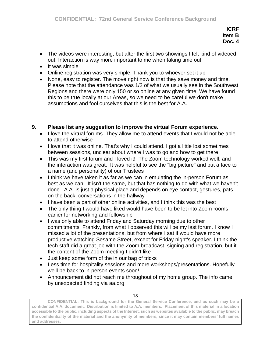- The videos were interesting, but after the first two showings I felt kind of videoed out. Interaction is way more important to me when taking time out
- It was simple
- Online registration was very simple. Thank you to whoever set it up
- None, easy to register. The move right now is that they save money and time. Please note that the attendance was 1/2 of what we usually see in the Southwest Regions and there were only 150 or so online at any given time. We have found this to be true locally at our Areas, so we need to be careful we don't make assumptions and fool ourselves that this is the best for A.A.

## **9. Please list any suggestion to improve the virtual Forum experience.**

- I love the virtual forums. They allow me to attend events that I would not be able to attend otherwise
- I love that it was online. That's why I could attend. I got a little lost sometimes between sessions, unclear about where I was to go and how to get there
- This was my first forum and I loved it! The Zoom technology worked well, and the interaction was great. It was helpful to see the "big picture" and put a face to a name (and personality) of our Trustees
- I think we have taken it as far as we can in emulating the in-person Forum as best as we can. It isn't the same, but that has nothing to do with what we haven't done...A.A. is just a physical place and depends on eye contact, gestures, pats on the back, conversations in the hallway
- I have been a part of other online activities, and I think this was the best
- The only thing I would have liked would have been to be let into Zoom rooms earlier for networking and fellowship
- I was only able to attend Friday and Saturday morning due to other commitments. Frankly, from what I observed this will be my last forum. I know I missed a lot of the presentations, but from where I sat if would have more productive watching Sesame Street, except for Friday night's speaker. I think the tech staff did a great job with the Zoom broadcast, signing and registration, but it the content of the Zoom meeting I didn't like
- Just keep some form of the in our bag of tricks
- Less time for hospitality sessions and more workshops/presentations. Hopefully we'll be back to in-person events soon!
- Announcement did not reach me throughout of my home group. The info came by unexpected finding via aa.org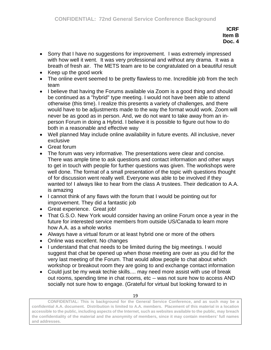- Sorry that I have no suggestions for improvement. I was extremely impressed with how well it went. It was very professional and without any drama. It was a breath of fresh air. The METS team are to be congratulated on a beautiful result
- Keep up the good work
- The online event seemed to be pretty flawless to me. Incredible job from the tech team
- I believe that having the Forums available via Zoom is a good thing and should be continued as a "hybrid" type meeting. I would not have been able to attend otherwise (this time). I realize this presents a variety of challenges, and there would have to be adjustments made to the way the format would work. Zoom will never be as good as in person. And, we do not want to take away from an inperson Forum in doing a Hybrid. I believe it is possible to figure out how to do both in a reasonable and effective way
- Well planned May include online availability in future events. All inclusive, never exclusive
- Great forum
- The forum was very informative. The presentations were clear and concise. There was ample time to ask questions and contact information and other ways to get in touch with people for further questions was given. The workshops were well done. The format of a small presentation of the topic with questions thought of for discussion went really well. Everyone was able to be involved if they wanted to! I always like to hear from the class A trustees. Their dedication to A.A. is amazing
- I cannot think of any flaws with the forum that I would be pointing out for improvement. They did a fantastic job
- Great experience. Great job!
- That G.S.O. New York would consider having an online Forum once a year in the future for interested service members from outside US/Canada to learn more how A.A. as a whole works
- Always have a virtual forum or at least hybrid one or more of the others
- Online was excellent. No changes
- I understand that chat needs to be limited during the big meetings. I would suggest that chat be opened up when those meeting are over as you did for the very last meeting of the Forum. That would allow people to chat about which workshop or breakout room they are going to and exchange contact information
- Could just be my weak techie skills.... may need more assist with use of break out rooms, spending time in chat rooms, etc -- was not sure how to access AND socially not sure how to engage. (Grateful for virtual but looking forward to in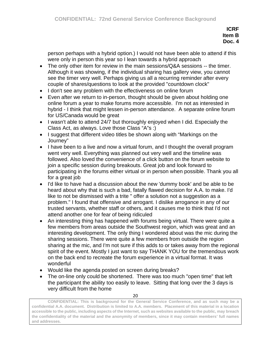person perhaps with a hybrid option.) I would not have been able to attend if this were only in person this year so I lean towards a hybrid approach

- The only other item for review in the main sessions/Q&A sessions -- the timer. Although it was showing, if the individual sharing has gallery view, you cannot see the timer very well. Perhaps giving us all a recurring reminder after every couple of shares/questions to look at the provided "countdown clock"
- I don't see any problem with the effectiveness on online forum
- Even after we return to in-person, thought should be given about holding one online forum a year to make forums more accessible. I'm not as interested in hybrid - I think that might lessen in-person attendance. A separate online forum for US/Canada would be great
- I wasn't able to attend 24/7 but thoroughly enjoyed when I did. Especially the Class Act, as always. Love those Class "A"s :)
- I suggest that different video titles be shown along with "Markings on the Journey"
- I have been to a live and now a virtual forum, and I thought the overall program went very well. Everything was planned out very well and the timeline was followed. Also loved the convenience of a click button on the forum website to join a specific session during breakouts. Great job and look forward to participating in the forums either virtual or in person when possible. Thank you all for a great job
- I'd like to have had a discussion about the new 'dummy book' and be able to be heard about why that is such a bad, fatally flawed decision for A.A. to make. I'd like to not be dismissed with a trite " offer a solution not a suggestion as a problem." I found that offensive and arrogant. I dislike arrogance in any of our trusted servants, whether staff or others, and it causes me to think that I'd not attend another one for fear of being ridiculed
- An interesting thing has happened with forums being virtual. There were quite a few members from areas outside the Southwest region, which was great and an interesting development. The only thing I wondered about was the mic during the sharing sessions. There were quite a few members from outside the region sharing at the mic, and I'm not sure if this adds to or takes away from the regional spirit of the event. Mostly I just want to say THANK YOU for the tremendous work on the back end to recreate the forum experience in a virtual format. It was wonderful
- Would like the agenda posted on screen during breaks?
- The on-line only could be shortened. There was too much "open time" that left the participant the ability too easily to leave. Sitting that long over the 3 days is very difficult from the home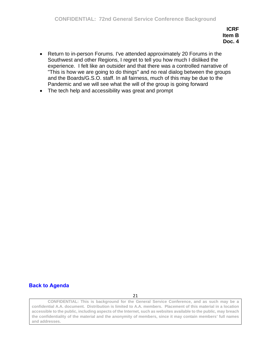- Return to in-person Forums. I've attended approximately 20 Forums in the Southwest and other Regions, I regret to tell you how much I disliked the experience. I felt like an outsider and that there was a controlled narrative of "This is how we are going to do things" and no real dialog between the groups and the Boards/G.S.O. staff. In all fairness, much of this may be due to the Pandemic and we will see what the will of the group is going forward
- The tech help and accessibility was great and prompt

# **[Back to Agenda](#page-1-0)**

21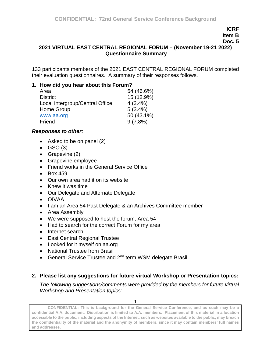**Doc. 5**

#### **2021 VIRTUAL EAST CENTRAL REGIONAL FORUM – (November 19-21 2022) Questionnaire Summary**

133 participants members of the 2021 EAST CENTRAL REGIONAL FORUM completed their evaluation questionnaires. A summary of their responses follows.

#### **1. How did you hear about this Forum?**

| 54 (46.6%) |
|------------|
| 15 (12.9%) |
| $4(3.4\%)$ |
| $5(3.4\%)$ |
| 50 (43.1%) |
| $9(7.8\%)$ |
|            |

#### *Responses to other:*

- Asked to be on panel (2)
- $\bullet$  GSO (3)
- Grapevine (2)
- Grapevine employee
- Friend works in the General Service Office
- Box 459
- Our own area had it on its website
- Knew it was time
- Our Delegate and Alternate Delegate
- OIVAA
- I am an Area 54 Past Delegate & an Archives Committee member
- Area Assembly
- We were supposed to host the forum, Area 54
- Had to search for the correct Forum for my area
- Internet search
- East Central Regional Trustee
- Looked for it myself on aa.org
- National Trustee from Brasil
- General Service Trustee and 2nd term WSM delegate Brasil

## **2. Please list any suggestions for future virtual Workshop or Presentation topics:**

*The following suggestions/comments were provided by the members for future virtual Workshop and Presentation topics:*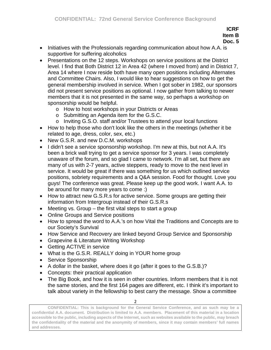**Doc. 5**

- Initiatives with the Professionals regarding communication about how A.A. is supportive for suffering alcoholics
- Presentations on the 12 steps. Workshops on service positions at the District level. I find that Both District 12 in Area 42 (where I moved from) and in District 7, Area 14 where I now reside both have many open positions including Alternates and Committee Chairs. Also, I would like to hear suggestions on how to get the general membership involved in service. When I got sober in 1982, our sponsors did not present service positions as optional. I now gather from talking to newer members that it is not presented in the same way, so perhaps a workshop on sponsorship would be helpful.
	- o How to host workshops in your Districts or Areas
	- o Submitting an Agenda item for the G.S.C.
	- o Inviting G.S.O. staff and/or Trustees to attend your local functions
- How to help those who don't look like the others in the meetings (whether it be related to age, dress, color, sex, etc.)
- New G.S.R. and new D.C.M. workshops
- I didn't see a service sponsorship workshop. I'm new at this, but not A.A. It's been a brick wall trying to get a service sponsor for 3 years. I was completely unaware of the forum, and so glad I came to network. I'm all set, but there are many of us with 2-7 years, active steppers, ready to move to the next level in service. It would be great if there was something for us which outlined service positions, sobriety requirements and a Q&A session. Food for thought. Love you guys! The conference was great. Please keep up the good work. I want A.A. to be around for many more years to come :)
- How to attract new G.S.R.s for active service. Some groups are getting their information from Intergroup instead of their G.S.R.s
- Meeting vs. Group the first vital steps to start a group
- Online Groups and Service positions
- How to spread the word to A.A.'s on how Vital the Traditions and Concepts are to our Society's Survival
- How Service and Recovery are linked beyond Group Service and Sponsorship
- Grapevine & Literature Writing Workshop
- Getting ACTIVE in service
- What is the G.S.R. REALLY doing in YOUR home group
- Service Sponsorship
- A dollar in the basket, where does it go (after it goes to the G.S.B.)?
- Concepts: their practical application
- The Big Book, and how it is seen in other countries. Inform members that it is not the same stories, and the first 164 pages are different, etc. I think it's important to talk about variety in the fellowship to best carry the message. Show a committee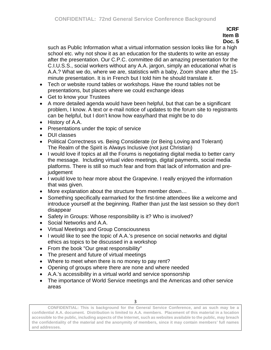**Doc. 5**

such as Public Information what a virtual information session looks like for a high school etc. why not show it as an education for the students to write an essay after the presentation. Our C.P.C. committee did an amazing presentation for the C.I.U.S.S., social workers without any A.A. jargon, simply an educational what is A.A.? What we do, where we are, statistics with a baby, Zoom share after the 15 minute presentation. It is in French but I told him he should translate it.

- Tech or website round tables or workshops. Have the round tables not be presentations, but places where we could exchange ideas
- Get to know your Trustees
- A more detailed agenda would have been helpful, but that can be a significant problem, I know. A text or e-mail notice of updates to the forum site to registrants can be helpful, but I don't know how easy/hard that might be to do
- History of A.A.
- Presentations under the topic of service
- DUI classes
- Political Correctness vs. Being Considerate (or Being Loving and Tolerant) The Realm of the Spirit is Always Inclusive (not just Christian)
- I would love if topics at all the Forums is negotiating digital media to better carry the message. Including virtual video meetings, digital payments, social media platforms. There is still so much fear and from that lack of information and prejudgement
- I would love to hear more about the Grapevine. I really enjoyed the information that was given.
- More explanation about the structure from member down…
- Something specifically earmarked for the first-time attendees like a welcome and introduce yourself at the beginning. Rather than just the last session so they don't disappear
- Safety in Groups: Whose responsibility is it? Who is involved?
- Social Networks and A.A.
- Virtual Meetings and Group Consciousness
- I would like to see the topic of A.A.'s presence on social networks and digital ethics as topics to be discussed in a workshop
- From the book "Our great responsibility"
- The present and future of virtual meetings
- Where to meet when there is no money to pay rent?
- Opening of groups where there are none and where needed
- A.A.'s accessibility in a virtual world and service sponsorship
- The importance of World Service meetings and the Americas and other service areas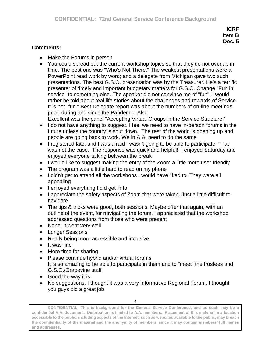#### **Comments:**

- Make the Forums in person
- You could spread out the current workshop topics so that they do not overlap in time. The best one was "Who's Not There." The weakest presentations were a PowerPoint read work by word; and a delegate from Michigan gave two such presentations. The best G.S.O. presentation was by the Treasurer. He's a terrific presenter of timely and important budgetary matters for G.S.O. Change "Fun in service" to something else. The speaker did not convince me of "fun". I would rather be told about real life stories about the challenges and rewards of Service. It is not "fun." Best Delegate report was about the numbers of on-line meetings prior, during and since the Pandemic. Also

Excellent was the panel "Accepting Virtual Groups in the Service Structure."

- I do not have anything to suggest. I feel we need to have in-person forums in the future unless the country is shut down. The rest of the world is opening up and people are going back to work. We in A.A. need to do the same
- I registered late, and I was afraid I wasn't going to be able to participate. That was not the case. The response was quick and helpful! I enjoyed Saturday and enjoyed everyone talking between the break
- I would like to suggest making the entry of the Zoom a little more user friendly
- The program was a little hard to read on my phone
- I didn't get to attend all the workshops I would have liked to. They were all appealing
- I enjoyed everything I did get in to
- I appreciate the safety aspects of Zoom that were taken. Just a little difficult to navigate
- The tips & tricks were good, both sessions. Maybe offer that again, with an outline of the event, for navigating the forum. I appreciated that the workshop addressed questions from those who were present
- None, it went very well
- Longer Sessions
- Really being more accessible and inclusive
- It was fine
- More time for sharing
- Please continue hybrid and/or virtual forums It is so amazing to be able to participate in them and to "meet" the trustees and G.S.O./Grapevine staff
- Good the way it is
- No suggestions, I thought it was a very informative Regional Forum. I thought you guys did a great job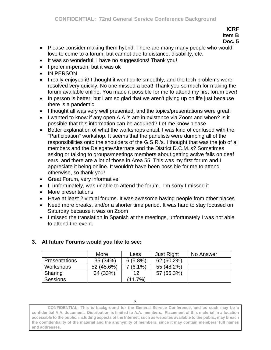## **Doc. 5**

- Please consider making them hybrid. There are many many people who would love to come to a forum, but cannot due to distance, disability, etc.
- It was so wonderful! I have no suggestions! Thank you!
- I prefer in-person, but it was ok
- IN PERSON
- I really enjoyed it! I thought it went quite smoothly, and the tech problems were resolved very quickly. No one missed a beat! Thank you so much for making the forum available online. You made it possible for me to attend my first forum ever!
- In person is better, but I am so glad that we aren't giving up on life just because there is a pandemic
- I thought all was very well presented, and the topics/presentations were great!
- I wanted to know if any open A.A.'s are in existence via Zoom and when? Is it possible that this information can be acquired? Let me know please
- Better explanation of what the workshops entail. I was kind of confused with the "Participation" workshop. It seems that the panelists were dumping all of the responsibilities onto the shoulders of the G.S.R.'s. I thought that was the job of all members and the Delegate/Alternate and the District D.C.M.'s? Sometimes asking or talking to groups/meetings members about getting active falls on deaf ears, and there are a lot of those in Area 55. This was my first forum and I appreciate it being online. It wouldn't have been possible for me to attend otherwise, so thank you!
- Great Forum, very informative
- I, unfortunately, was unable to attend the forum. I'm sorry I missed it
- More presentations
- Have at least 2 virtual forums. It was awesome having people from other places
- Need more breaks, and/or a shorter time period. It was hard to stay focused on Saturday because it was on Zoom
- I missed the translation in Spanish at the meetings, unfortunately I was not able to attend the event.

|                      | More       | Less       | <b>Just Right</b> | No Answer |
|----------------------|------------|------------|-------------------|-----------|
| <b>Presentations</b> | 35(34%)    | $6(5.8\%)$ | 62 (60.2%)        |           |
| Workshops            | 52 (45.6%) | $(6.1\%)$  | 55 (48.2%)        |           |
| Sharing              | 34 (33%)   | 12         | 57 (55.3%)        |           |
| <b>Sessions</b>      |            | (11.7%)    |                   |           |

# **3. At future Forums would you like to see:**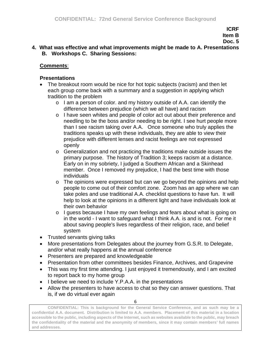## **4. What was effective and what improvements might be made to A. Presentations B. Workshops C. Sharing Sessions:**

## **Comments**:

### **Presentations**

- The breakout room would be nice for hot topic subjects (racism) and then let each group come back with a summary and a suggestion in applying which tradition to the problem
	- o I am a person of color. and my history outside of A.A. can identify the difference between prejudice (which we all have) and racism
	- o I have seen whites and people of color act out about their preference and needling to be the boss and/or needing to be right. I see hurt people more than I see racism taking over A.A. Once someone who truly applies the traditions speaks up with these individuals, they are able to view their prejudice with different lenses and racist feelings are not expressed openly
	- o Generalization and not practicing the traditions make outside issues the primary purpose. The history of Tradition 3; keeps racism at a distance. Early on in my sobriety, I judged a Southern African and a Skinhead member. Once I removed my prejudice, I had the best time with those individuals
	- o The opinions were expressed but can we go beyond the opinions and help people to come out of their comfort zone. Zoom has an app where we can take poles and use traditional A.A. checklist questions to have fun. It will help to look at the opinions in a different light and have individuals look at their own behavior
	- o I guess because I have my own feelings and fears about what is going on in the world - I want to safeguard what I think A.A. is and is not. For me it about saving people's lives regardless of their religion, race, and belief system
- Trusted servants giving talks
- More presentations from Delegates about the journey from G.S.R. to Delegate, and/or what really happens at the annual conference
- Presenters are prepared and knowledgeable
- Presentation from other committees besides Finance, Archives, and Grapevine
- This was my first time attending. I just enjoyed it tremendously, and I am excited to report back to my home group
- I believe we need to include Y.P.A.A. in the presentations
- Allow the presenters to have access to chat so they can answer questions. That is, if we do virtual ever again

6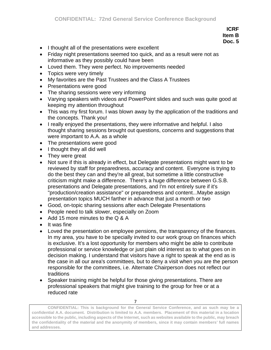- I thought all of the presentations were excellent
- Friday night presentations seemed too quick, and as a result were not as informative as they possibly could have been
- Loved them. They were perfect. No improvements needed
- Topics were very timely
- My favorites are the Past Trustees and the Class A Trustees
- Presentations were good
- The sharing sessions were very informing
- Varying speakers with videos and PowerPoint slides and such was quite good at keeping my attention throughout
- This was my first forum. I was blown away by the application of the traditions and the concepts. Thank you!
- I really enjoyed the presentations, they were informative and helpful. I also thought sharing sessions brought out questions, concerns and suggestions that were important to A.A. as a whole
- The presentations were good
- I thought they all did well
- They were great
- Not sure if this is already in effect, but Delegate presentations might want to be reviewed by staff for preparedness, accuracy and content. Everyone is trying to do the best they can and they're all great, but sometime a little constructive criticism might make a difference. There's a huge difference between G.S.B. presentations and Delegate presentations, and I'm not entirely sure if it's "production/creation assistance" or preparedness and content...Maybe assign presentation topics MUCH farther in advance that just a month or two
- Good, on-topic sharing sessions after each Delegate Presentations
- People need to talk slower, especially on Zoom
- Add 15 more minutes to the Q & A
- It was fine
- Loved the presentation on employee pensions, the transparency of the finances. In my area, you have to be specially invited to our work group on finances which is exclusive. It's a lost opportunity for members who might be able to contribute professional or service knowledge or just plain old interest as to what goes on in decision making. I understand that visitors have a right to speak at the end as is the case in all our area's committees, but to deny a visit when you are the person responsible for the committees, i.e. Alternate Chairperson does not reflect our traditions
- Speaker training might be helpful for those giving presentations. There are professional speakers that might give training to the group for free or at a reduced rate

**CONFIDENTIAL: This is background for the General Service Conference, and as such may be a confidential A.A. document. Distribution is limited to A.A. members. Placement of this material in a location accessible to the public, including aspects of the Internet, such as websites available to the public, may breach the confidentiality of the material and the anonymity of members, since it may contain members' full names and addresses.**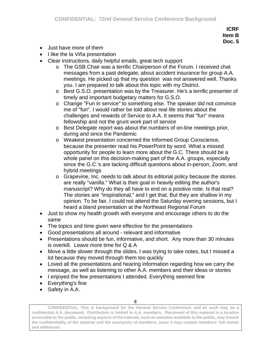- Just have more of them
- I like the la Viña presentation
- Clear instructions, daily helpful emails, great tech support
	- o The GSB Chair was a terrific Chairperson of the Forum. I received chat messages from a past delegate, about accident insurance for group A.A. meetings. He picked up that my question was not answered well. Thanks you. I am prepared to talk about this topic with my District.
	- o Best G.S.O. presentation was by the Treasurer. He's a terrific presenter of timely and important budgetary matters for G.S.O.
	- o Change "Fun in service" to something else. The speaker did not convince me of "fun". I would rather be told about real life stories about the challenges and rewards of Service to A.A. It seems that "fun" means fellowship and not the grunt work part of service
	- o Best Delegate report was about the numbers of on-line meetings prior, during and since the Pandemic
	- o Weakest presentation concerned the Informed Group Conscience, because the presenter read his PowerPoint by word. What a missed opportunity for people to learn more about the G.C. There should be a whole panel on this decision-making part of the A.A. groups, especially since the G.C.'s are tacking difficult questions about in-person, Zoom, and hybrid meetings
	- o Grapevine, Inc. needs to talk about its editorial policy because the stories are really "vanilla." What is their goal in heavily editing the author's manuscript? Why do they all have to end on a positive note. Is that real? The stories are "inspirational," and I get that. But they are shallow in my opinion. To be fair, I could not attend the Saturday evening sessions, but I heard a bland presentation at the Northeast Regional Forum
- Just to show my health growth with everyone and encourage others to do the same
- The topics and time given were effective for the presentations
- Good presentations all around relevant and informative
- Presentations should be fun, informative, and short. Any more than 30 minutes is overkill. Leave more time for Q & A
- Move a little slower through the slides. I was trying to take notes, but I missed a lot because they moved through them too quickly
- Loved all the presentations and hearing information regarding how we carry the message, as well as listening to other A.A. members and their ideas or stories
- I enjoyed the few presentations I attended. Everything seemed fine
- Everything's fine
- Safety in A.A.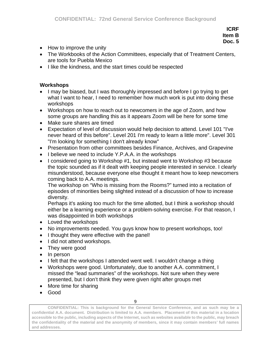- How to improve the unity
- The Workbooks of the Action Committees, especially that of Treatment Centers, are tools for Puebla Mexico
- I like the kindness, and the start times could be respected

#### **Workshops**

- I may be biased, but I was thoroughly impressed and before I go trying to get what I want to hear, I need to remember how much work is put into doing these workshops
- Workshops on how to reach out to newcomers in the age of Zoom, and how some groups are handling this as it appears Zoom will be here for some time
- Make sure shares are timed
- Expectation of level of discussion would help decision to attend. Level 101 "I've never heard of this before". Level 201 I'm ready to learn a little more". Level 301 "I'm looking for something I don't already know"
- Presentation from other committees besides Finance, Archives, and Grapevine
- I believe we need to include Y.P.A.A. in the workshops
- I considered going to Workshop #1, but instead went to Workshop #3 because the topic sounded as if it dealt with keeping people interested in service. I clearly misunderstood, because everyone else thought it meant how to keep newcomers coming back to A.A. meetings.

The workshop on "Who is missing from the Rooms?" turned into a recitation of episodes of minorities being slighted instead of a discussion of how to increase diversity.

Perhaps it's asking too much for the time allotted, but I think a workshop should either be a learning experience or a problem-solving exercise. For that reason, I was disappointed in both workshops

- Loved the workshops
- No improvements needed. You guys know how to present workshops, too!
- I thought they were effective with the panel!
- I did not attend workshops.
- They were good
- In person
- I felt that the workshops I attended went well. I wouldn't change a thing
- Workshops were good. Unfortunately, due to another A.A. commitment, I missed the "lead summaries" of the workshops. Not sure when they were presented, but I don't think they were given right after groups met
- More time for sharing
- Good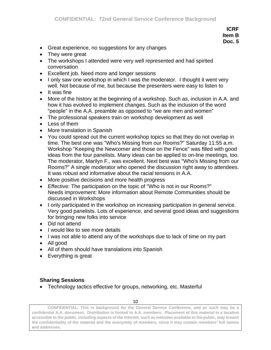- Great experience, no suggestions for any changes
- They were great
- The workshops I attended were very well represented and had spirited conversation
- Excellent job. Need more and longer sessions
- I only saw one workshop in which I was the moderator. I thought it went very well. Not because of me, but because the presenters were easy to listen to
- It was fine
- More of the history at the beginning of a workshop. Such as, inclusion in A.A. and how it has evolved to implement changes. Such as the inclusion of the word "people" in the A.A. preamble as opposed to "we are men and women"
- The professional speakers train on workshop development as well
- Less of them
- More translation in Spanish
- You could spread out the current workshop topics so that they do not overlap in time. The best one was "Who's Missing from our Rooms?" Saturday 11:55 a.m. Workshop "Keeping the Newcomer and those on the Fence" was filled with good ideas from the four panelists. Many ideas can be applied to on-line meetings, too. The moderator, Marilyn F., was excellent. Next best was "Who's Missing from our Rooms?" A single moderator who opened the discussion right away to attendees. It was robust and informative about the racial tensions in A.A.
- More positive decisions and more health progress
- Effective: The participation on the topic of "Who is not in our Rooms?" Needs improvement: More information about Remote Communities should be discussed in Workshops
- I only participated in the workshop on increasing participation in general service. Very good panelists. Lots of experience, and several good ideas and suggestions for bringing new folks into service
- Did not attend
- I would like to see more details
- I was not able to attend any of the workshops due to lack of time on my part
- All good
- All of them should have translations into Spanish
- Everything is great

### **Sharing Sessions**

• Technology tactics effective for groups, networking, etc. Masterful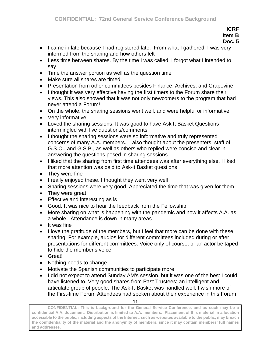#### **ICRF Item B**

# **Doc. 5**

- I came in late because I had registered late. From what I gathered, I was very informed from the sharing and how others felt
- Less time between shares. By the time I was called, I forgot what I intended to say
- Time the answer portion as well as the question time
- Make sure all shares are timed
- Presentation from other committees besides Finance, Archives, and Grapevine
- I thought it was very effective having the first timers to the Forum share their views. This also showed that it was not only newcomers to the program that had never attend a Forum!
- On the whole, the sharing sessions went well, and were helpful or informative
- Very informative
- Loved the sharing sessions. It was good to have Ask It Basket Questions intermingled with live questions/comments
- I thought the sharing sessions were so informative and truly represented concerns of many A.A. members. I also thought about the presenters, staff of G.S.O., and G.S.B., as well as others who replied were concise and clear in answering the questions posed in sharing sessions
- I liked that the sharing from first time attendees was after everything else. I liked that more attention was paid to Ask-it Basket questions
- They were fine
- I really enjoyed these. I thought they went very well
- Sharing sessions were very good. Appreciated the time that was given for them
- They were great
- Effective and interesting as is
- Good. It was nice to hear the feedback from the Fellowship
- More sharing on what is happening with the pandemic and how it affects A.A. as a whole. Attendance is down in many areas
- It was fine
- I love the gratitude of the members, but I feel that more can be done with these sharing. For example, audios for different committees included during or after presentations for different committees. Voice only of course, or an actor be taped to hide the member's voice
- Great!
- Nothing needs to change
- Motivate the Spanish communities to participate more
- I did not expect to attend Sunday AM's session, but it was one of the best I could have listened to. Very good shares from Past Trustees; an intelligent and articulate group of people. The Ask-It-Basket was handled well. I wish more of the First-time Forum Attendees had spoken about their experience in this Forum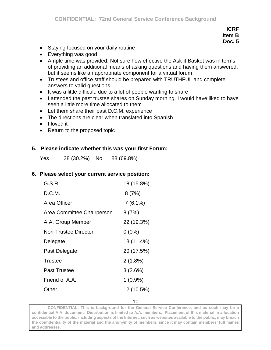- Staying focused on your daily routine
- Everything was good
- Ample time was provided. Not sure how effective the Ask-it Basket was in terms of providing an additional means of asking questions and having them answered, but it seems like an appropriate component for a virtual forum
- Trustees and office staff should be prepared with TRUTHFUL and complete answers to valid questions
- It was a little difficult, due to a lot of people wanting to share
- I attended the past trustee shares on Sunday morning. I would have liked to have seen a little more time allocated to them
- Let them share their past D.C.M. experience
- The directions are clear when translated into Spanish
- I loved it
- Return to the proposed topic

#### **5. Please indicate whether this was your first Forum:**

Yes 38 (30.2%) No 88 (69.8%)

#### **6. Please select your current service position:**

| 18 (15.8%) |
|------------|
| 8(7%)      |
| $7(6.1\%)$ |
| 8(7%)      |
| 22 (19.3%) |
| $0(0\%)$   |
| 13 (11.4%) |
| 20 (17.5%) |
| 2(1.8%)    |
| 3(2.6%)    |
| $1(0.9\%)$ |
| 12 (10.5%) |
|            |

12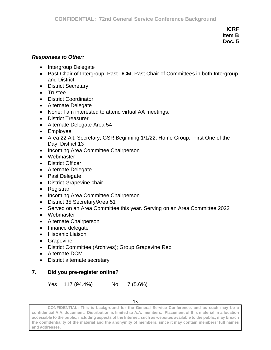#### *Responses to Other:*

- Intergroup Delegate
- Past Chair of Intergroup; Past DCM, Past Chair of Committees in both Intergroup and District
- District Secretary
- Trustee
- District Coordinator
- Alternate Delegate
- None: I am interested to attend virtual AA meetings.
- District Treasurer
- Alternate Delegate Area 54
- Employee
- Area 22 Alt. Secretary; GSR Beginning 1/1/22, Home Group, First One of the Day, District 13
- Incoming Area Committee Chairperson
- Webmaster
- District Officer
- Alternate Delegate
- Past Delegate
- District Grapevine chair
- Registrar
- Incoming Area Committee Chairperson
- District 35 Secretary/Area 51
- Served on an Area Committee this year. Serving on an Area Committee 2022
- Webmaster
- Alternate Chairperson
- Finance delegate
- Hispanic Liaison
- Grapevine
- District Committee (Archives); Group Grapevine Rep
- Alternate DCM
- District alternate secretary

### **7. Did you pre-register online?**

Yes 117 (94.4%) No 7 (5.6%)

13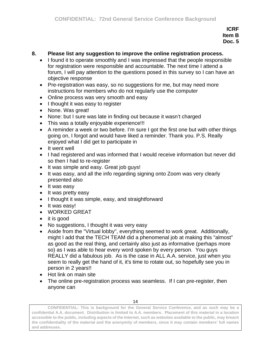#### **8. Please list any suggestion to improve the online registration process.**

- I found it to operate smoothly and I was impressed that the people responsible for registration were responsible and accountable. The next time I attend a forum, I will pay attention to the questions posed in this survey so I can have an objective response
- Pre-registration was easy, so no suggestions for me, but may need more instructions for members who do not regularly use the computer
- Online process was very smooth and easy
- I thought it was easy to register
- None. Was great!
- None: but I sure was late in finding out because it wasn't charged
- This was a totally enjoyable experience!!!
- A reminder a week or two before. I'm sure I got the first one but with other things going on, I forgot and would have liked a reminder. Thank you. P.S. Really enjoyed what I did get to participate in
- It went well
- I had registered and was informed that I would receive information but never did so then I had to re-register
- It was simple and easy. Great job guys!
- It was easy, and all the info regarding signing onto Zoom was very clearly presented also
- It was easy
- It was pretty easy
- I thought it was simple, easy, and straightforward
- It was easy!
- WORKED GREAT
- it is good
- No suggestions, I thought it was very easy
- Aside from the "Virtual lobby", everything seemed to work great. Additionally, might I add that the TECH TEAM did a phenomenal job at making this "almost" as good as the real thing, and certainly also just as informative (perhaps more so) as I was able to hear every word spoken by every person. You guys REALLY did a fabulous job. As is the case in ALL A.A. service, just when you seem to really get the hand of it, it's time to rotate out, so hopefully see you in person in 2 years!!
- Hot link on main site
- The online pre-registration process was seamless. If I can pre-register, then anyone can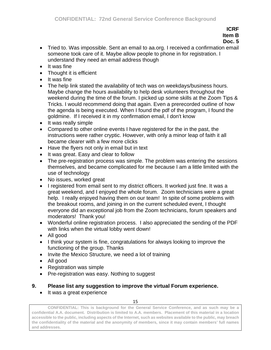- **ICRF Item B Doc. 5**
- Tried to. Was impossible. Sent an email to aa.org. I received a confirmation email someone took care of it. Maybe allow people to phone in for registration. I understand they need an email address though
- It was fine
- Thought it is efficient
- It was fine
- The help link stated the availability of tech was on weekdays/business hours. Maybe change the hours availability to help desk volunteers throughout the weekend during the time of the forum. I picked up some skills at the Zoom Tips & Tricks. I would recommend doing that again. Even a prerecorded outline of how the agenda is being executed. When I found the pdf of the program, I found the goldmine. If I received it in my confirmation email, I don't know
- It was really simple
- Compared to other online events I have registered for the in the past, the instructions were rather cryptic. However, with only a minor leap of faith it all became clearer with a few more clicks
- Have the flyers not only in email but in text
- It was great. Easy and clear to follow
- The pre-registration process was simple. The problem was entering the sessions themselves, and became complicated for me because I am a little limited with the use of technology
- No issues, worked great
- I registered from email sent to my district officers. It worked just fine. It was a great weekend, and I enjoyed the whole forum. Zoom technicians were a great help. I really enjoyed having them on our team! In spite of some problems with the breakout rooms, and joining in on the current scheduled event, I thought everyone did an exceptional job from the Zoom technicians, forum speakers and moderators! Thank you!
- Wonderful online registration process. I also appreciated the sending of the PDF with links when the virtual lobby went down!
- All good
- I think your system is fine, congratulations for always looking to improve the functioning of the group. Thanks
- Invite the Mexico Structure, we need a lot of training
- All good
- Registration was simple
- Pre-registration was easy. Nothing to suggest

# **9. Please list any suggestion to improve the virtual Forum experience.**

• It was a great experience

15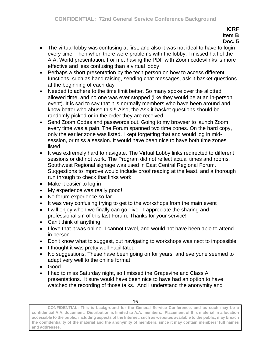**ICRF Item B**

# **Doc. 5**

- The virtual lobby was confusing at first, and also it was not ideal to have to login every time. Then when there were problems with the lobby, I missed half of the A.A. World presentation. For me, having the PDF with Zoom codes/links is more effective and less confusing than a virtual lobby
- Perhaps a short presentation by the tech person on how to access different functions, such as hand raising, sending chat messages, ask-it-basket questions at the beginning of each day
- Needed to adhere to the time limit better. So many spoke over the allotted allowed time, and no one was ever stopped (like they would be at an in-person event). It is sad to say that it is normally members who have been around and know better who abuse this!!! Also, the Ask-it-basket questions should be randomly picked or in the order they are received
- Send Zoom Codes and passwords out. Going to my browser to launch Zoom every time was a pain. The Forum spanned two time zones. On the hard copy, only the earlier zone was listed. I kept forgetting that and would log in midsession, or miss a session. It would have been nice to have both time zones listed
- It was extremely hard to navigate. The Virtual Lobby links redirected to different sessions or did not work. The Program did not reflect actual times and rooms. Southwest Regional signage was used in East Central Regional Forum. Suggestions to improve would include proof reading at the least, and a thorough run through to check that links work
- Make it easier to log in
- My experience was really good!
- No forum experience so far
- It was very confusing trying to get to the workshops from the main event
- I will enjoy when we finally can go "live". I appreciate the sharing and professionalism of this last Forum. Thanks for your service!
- Can't think of anything
- I love that it was online. I cannot travel, and would not have been able to attend in person
- Don't know what to suggest, but navigating to workshops was next to impossible
- I thought it was pretty well Facilitated
- No suggestions. These have been going on for years, and everyone seemed to adapt very well to the online format
- Good
- I had to miss Saturday night, so I missed the Grapevine and Class A presentations. It sure would have been nice to have had an option to have watched the recording of those talks. And I understand the anonymity and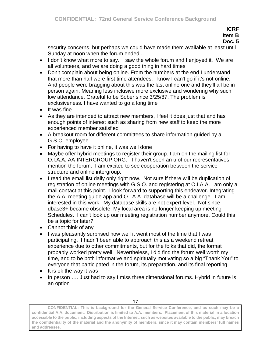## **ICRF Item B**

## **Doc. 5**

security concerns, but perhaps we could have made them available at least until Sunday at noon when the forum ended...

- I don't know what more to say. I saw the whole forum and I enjoyed it. We are all volunteers, and we are doing a good thing in hard times
- Don't complain about being online. From the numbers at the end I understand that more than half were first time attendees. I know I can't go if it's not online. And people were bragging about this was the last online one and they'll all be in person again. Meaning less inclusive more exclusive and wondering why such low attendance. Grateful to be Sober since 3/25/87. The problem is exclusiveness. I have wanted to go a long time
- It was fine
- As they are intended to attract new members, I feel it does just that and has enough points of interest such as sharing from new staff to keep the more experienced member satisfied
- A breakout room for different committees to share information guided by a G.S.O. employee
- For having to have it online, it was well done
- Maybe offer hybrid meetings to register their group. I am on the mailing list for O.I.A.A. AA-INTERGROUP.ORG. I haven't seen an u of our representatives mention the forum. I am excited to see cooperation between the service structure and online intergroup.
- I read the email list daily only right now. Not sure if there will be duplication of registration of online meetings with G.S.O. and registering at O.I.A.A. I am only a mail contact at this point. I look forward to supporting this endeavor. Integrating the A.A. meeting guide app and O.I.A.A. database will be a challenge. I am interested in this work. My database skills are not expert level. Not since dbase3+ became obsolete. My local area is no longer keeping up meeting Schedules. I can't look up our meeting registration number anymore. Could this be a topic for later?
- Cannot think of any
- I was pleasantly surprised how well it went most of the time that I was participating. I hadn't been able to approach this as a weekend retreat experience due to other commitments, but for the folks that did, the format probably worked pretty well. Nevertheless, I did find the forum well worth my time, and to be both informative and spiritually motivating so a big "Thank You" to everyone that participated in the forum, its preparation, and its final reporting
- It is ok the way it was
- In person .... Just had to say I miss three dimensional forums. Hybrid in future is an option

**CONFIDENTIAL: This is background for the General Service Conference, and as such may be a confidential A.A. document. Distribution is limited to A.A. members. Placement of this material in a location accessible to the public, including aspects of the Internet, such as websites available to the public, may breach the confidentiality of the material and the anonymity of members, since it may contain members' full names and addresses.**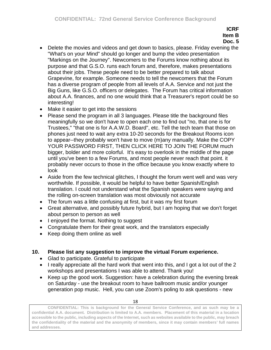- Delete the movies and videos and get down to basics, please. Friday evening the "What's on your Mind" should go longer and bump the video presentation "Markings on the Journey". Newcomers to the Forums know nothing about its purpose and that G.S.O. runs each forum and, therefore, makes presentations about their jobs. These people need to be better prepared to talk about Grapevine, for example. Someone needs to tell the newcomers that the Forum has a diverse program of people from all levels of A.A. Service and not just the Big Guns, like G.S.O. officers or delegates. The Forum has critical information about A.A. finances, and no one would think that a Treasurer's report could be so interesting!
- Make it easier to get into the sessions
- Please send the program in all 3 languages. Please title the background files meaningfully so we don't have to open each one to find out "no, that one is for Trustees," "that one is for A.A.W.D. Board", etc. Tell the tech team that those on phones just need to wait any extra 10-20 seconds for the Breakout Rooms icon to appear--they probably won't have to move (m)any manually. Make the COPY YOUR PASSWORD FIRST, THEN CLICK HERE TO JOIN THE FORUM much bigger, bolder and more colorful. It's easy to overlook in the middle of the page until you've been to a few Forums, and most people never reach that point. it probably never occurs to those in the office because you know exactly where to look
- Aside from the few technical glitches, I thought the forum went well and was very worthwhile. If possible, it would be helpful to have better Spanish/English translation. I could not understand what the Spanish speakers were saying and the rolling on-screen translation was most obviously not accurate
- The forum was a little confusing at first, but it was my first forum
- Great alternative, and possibly future hybrid, but I am hoping that we don't forget about person to person as well
- I enjoyed the format. Nothing to suggest
- Congratulate them for their great work, and the translators especially
- Keep doing them online as well

# **10. Please list any suggestion to improve the virtual Forum experience.**

- Glad to participate. Grateful to participate
- I really appreciate all the hard work that went into this, and I got a lot out of the 2 workshops and presentations I was able to attend. Thank you!
- Keep up the good work. Suggestion: have a celebration during the evening break on Saturday - use the breakout room to have ballroom music and/or younger generation pop music. Hell, you can use Zoom's poling to ask questions - new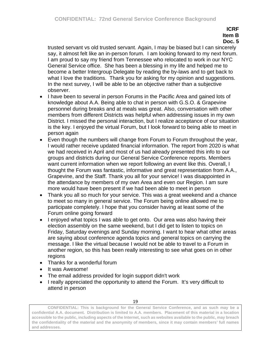trusted servant vs old trusted servant. Again, I may be biased but I can sincerely say, it almost felt like an in-person forum. I am looking forward to my next forum. I am proud to say my friend from Tennessee who relocated to work in our NYC General Service office. She has been a blessing in my life and helped me to become a better Intergroup Delegate by reading the by-laws and to get back to what I love the traditions. Thank you for asking for my opinion and suggestions. In the next survey, I will be able to be an objective rather than a subjective observer.

- I have been to several in person Forums in the Pacific Area and gained lots of knowledge about A.A. Being able to chat in person with G.S.O. & Grapevine personnel during breaks and at meals was great. Also, conversation with other members from different Districts was helpful when addressing issues in my own District. I missed the personal interaction, but I realize acceptance of our situation is the key. I enjoyed the virtual Forum, but I look forward to being able to meet in person again
- Even though the numbers will change from Forum to Forum throughout the year, I would rather receive updated financial information. The report from 2020 is what we had received in April and most of us had already presented this info to our groups and districts during our General Service Conference reports. Members want current information when we report following an event like this. Overall, I thought the Forum was fantastic, informative and great representation from A.A., Grapevine, and the Staff. Thank you all for your service! I was disappointed in the attendance by members of my own Area and even our Region. I am sure more would have been present if we had been able to meet in person
- Thank you all so much for your service. This was a great weekend and a chance to meet so many in general service. The Forum being online allowed me to participate completely. I hope that you consider having at least some of the Forum online going forward
- I enjoyed what topics I was able to get onto. Our area was also having their election assembly on the same weekend, but I did get to listen to topics on Friday, Saturday evenings and Sunday morning. I want to hear what other areas are saying about conference agenda topics and general topics on carrying the message. I like the virtual because I would not be able to travel to a Forum in another region, so this has been really interesting to see what goes on in other regions
- Thanks for a wonderful forum
- It was Awesome!
- The email address provided for login support didn't work
- I really appreciated the opportunity to attend the Forum. It's very difficult to attend in person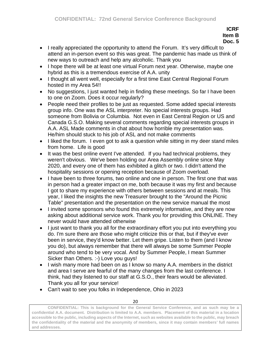- I really appreciated the opportunity to attend the Forum. It's very difficult to attend an in-person event so this was great. The pandemic has made us think of new ways to outreach and help any alcoholic. Thank you
- I hope there will be at least one virtual Forum next year. Otherwise, maybe one hybrid as this is a tremendous exercise of A.A. unity
- I thought all went well, especially for a first time East Central Regional Forum hosted in my Area 54!!
- No suggestions, I just wanted help in finding these meetings. So far I have been to one on Zoom. Does it occur regularly?
- People need their profiles to be just as requested. Some added special interests group info. One was the ASL interpreter. No special interests groups. Had someone from Bolivia or Columbia. Not even in East Central Region or US and Canada G.S.O. Making several comments regarding special interests groups in A.A. ASL Made comments in chat about how horrible my presentation was. He/him should stuck to his job of ASL and not make comments
- I liked the forum. I even got to ask a question while sitting in my deer stand miles from home. Life is good
- It was the best online event I've attended. If you had technical problems, they weren't obvious. We've been holding our Area Assembly online since May 2020, and every one of them has exhibited a glitch or two. I didn't attend the hospitality sessions or opening reception because of Zoom overload.
- I have been to three forums, two online and one in person. The first one that was in person had a greater impact on me, both because it was my first and because I got to share my experience with others between sessions and at meals. This year, I liked the insights the new Treasurer brought to the "Around the Picnic Table" presentation and the presentation on the new service manual the most
- I invited some sponsors who found this extremely informative, and they are now asking about additional service work. Thank you for providing this ONLINE. They never would have attended otherwise
- I just want to thank you all for the extraordinary effort you put into everything you do. I'm sure there are those who might criticize this or that, but if they've ever been in service, they'd know better. Let them gripe. Listen to them (and I know you do), but always remember that there will always be some Summer People around who tend to be very vocal. And by Summer People, I mean Summer Sicker than Others. :-) Love you guys!
- I wish many more had been on as I know so many A.A. members in the district and area I serve are fearful of the many changes from the last conference. I think, had they listened to our staff at G.S.O., their fears would be alleviated. Thank you all for your service!
- Can't wait to see you folks in Independence, Ohio in 2023

20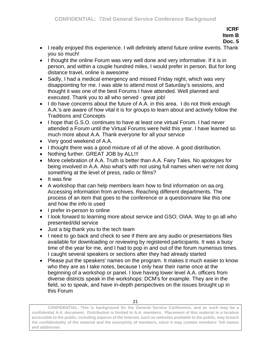- I really enjoyed this experience. I will definitely attend future online events. Thank you so much!
- I thought the online Forum was very well done and very informative. If it is in person, and within a couple hundred miles, I would prefer in person. But for long distance travel, online is awesome
- Sadly, I had a medical emergency and missed Friday night, which was very disappointing for me. I was able to attend most of Saturday's sessions, and thought it was one of the best Forums I have attended. Well planned and executed. Thank you to all who served - great job!
- I do have concerns about the future of A.A. in this area. I do not think enough A.A.'s are aware of how vital it is for groups to learn about and actively follow the Traditions and Concepts
- I hope that G.S.O. continues to have at least one virtual Forum. I had never attended a Forum until the Virtual Forums were held this year. I have learned so much more about A.A. Thank everyone for all your service
- Very good weekend of A.A.
- I thought there was a good mixture of all of the above. A good distribution.
- Nothing further. GREAT JOB by ALL!!!
- More celebration of A.A. Truth is better than A.A. Fairy Tales. No apologies for being involved in A.A. Also what's with not using full names when we're not doing something at the level of press, radio or films?
- It was fine
- A workshop that can help members learn how to find information on aa.org. Accessing information from archives. Reaching different departments. The process of an item that goes to the conference or a questionnaire like this one and how the info is used
- I prefer in-person to online
- I look forward to learning more about service and GSO; OIAA. Way to go all who presented/did service
- Just a big thank you to the tech team
- I need to go back and check to see if there are any audio or presentations files available for downloading or reviewing by registered participants. It was a busy time of the year for me, and I had to pop in and out of the forum numerous times. I caught several speakers or sections after they had already started
- Please put the speakers' names on the program. It makes it much easier to know who they are as I take notes, because I only hear their name once at the beginning of a workshop or panel. I love having lower level A.A. officers from diverse districts speak in the workshops: DCM's for example. They are in the field, so to speak, and have in-depth perspectives on the issues brought up in this Forum